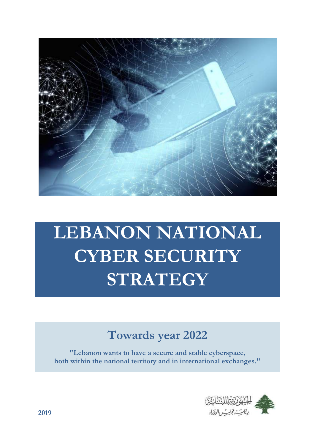

# **LEBANON NATIONAL CYBER SECURITY STRATEGY**

## **Towards year 2022**

**"Lebanon wants to have a secure and stable cyberspace, both within the national territory and in international exchanges."**

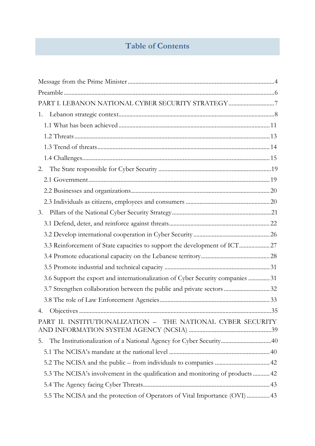## **Table of Contents**

| PART I. LEBANON NATIONAL CYBER SECURITY STRATEGY 7                              |  |
|---------------------------------------------------------------------------------|--|
| 1.                                                                              |  |
|                                                                                 |  |
|                                                                                 |  |
|                                                                                 |  |
|                                                                                 |  |
| 2.                                                                              |  |
|                                                                                 |  |
|                                                                                 |  |
|                                                                                 |  |
| 3.                                                                              |  |
|                                                                                 |  |
|                                                                                 |  |
| 3.3 Reinforcement of State capacities to support the development of ICT 27      |  |
|                                                                                 |  |
|                                                                                 |  |
| 3.6 Support the export and internationalization of Cyber Security companies  31 |  |
| 3.7 Strengthen collaboration between the public and private sectors  32         |  |
|                                                                                 |  |
| 4.                                                                              |  |
| PART II. INSTITUTIONALIZATION - THE NATIONAL CYBER SECURITY                     |  |
| The Institutionalization of a National Agency for Cyber Security40<br>5.        |  |
|                                                                                 |  |
|                                                                                 |  |
| 5.3 The NCISA's involvement in the qualification and monitoring of products  42 |  |
|                                                                                 |  |
| 5.5 The NCISA and the protection of Operators of Vital Importance (OVI)  43     |  |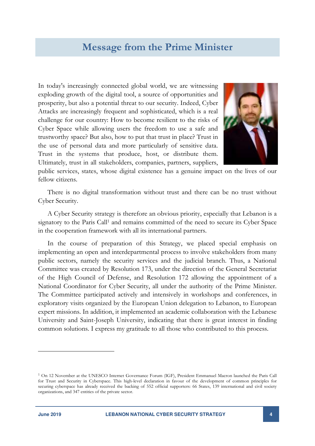## **Message from the Prime Minister**

<span id="page-3-0"></span>In today's increasingly connected global world, we are witnessing exploding growth of the digital tool, a source of opportunities and prosperity, but also a potential threat to our security. Indeed, Cyber Attacks are increasingly frequent and sophisticated, which is a real challenge for our country: How to become resilient to the risks of Cyber Space while allowing users the freedom to use a safe and trustworthy space? But also, how to put that trust in place? Trust in the use of personal data and more particularly of sensitive data. Trust in the systems that produce, host, or distribute them. Ultimately, trust in all stakeholders, companies, partners, suppliers,



public services, states, whose digital existence has a genuine impact on the lives of our fellow citizens.

There is no digital transformation without trust and there can be no trust without Cyber Security.

A Cyber Security strategy is therefore an obvious priority, especially that Lebanon is a signatory to the Paris Call<sup>1</sup> and remains committed of the need to secure its Cyber Space in the cooperation framework with all its international partners.

In the course of preparation of this Strategy, we placed special emphasis on implementing an open and interdepartmental process to involve stakeholders from many public sectors, namely the security services and the judicial branch. Thus, a National Committee was created by Resolution 173, under the direction of the General Secretariat of the High Council of Defense, and Resolution 172 allowing the appointment of a National Coordinator for Cyber Security, all under the authority of the Prime Minister. The Committee participated actively and intensively in workshops and conferences, in exploratory visits organized by the European Union delegation to Lebanon, to European expert missions. In addition, it implemented an academic collaboration with the Lebanese University and Saint-Joseph University, indicating that there is great interest in finding common solutions. I express my gratitude to all those who contributed to this process.

-

<sup>1</sup> On 12 November at the UNESCO Internet Governance Forum (IGF), President Emmanuel Macron launched the Paris Call for Trust and Security in Cyberspace. This high-level declaration in favour of the development of common principles for securing cyberspace has already received the backing of 552 official supporters: 66 States, 139 international and civil society organizations, and 347 entities of the private sector.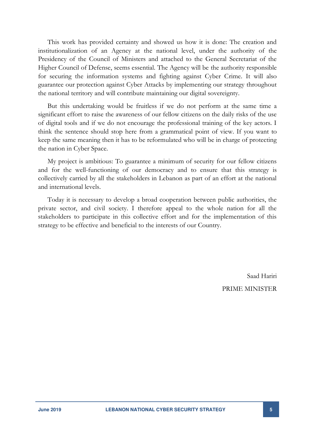This work has provided certainty and showed us how it is done: The creation and institutionalization of an Agency at the national level, under the authority of the Presidency of the Council of Ministers and attached to the General Secretariat of the Higher Council of Defense, seems essential. The Agency will be the authority responsible for securing the information systems and fighting against Cyber Crime. It will also guarantee our protection against Cyber Attacks by implementing our strategy throughout the national territory and will contribute maintaining our digital sovereignty.

But this undertaking would be fruitless if we do not perform at the same time a significant effort to raise the awareness of our fellow citizens on the daily risks of the use of digital tools and if we do not encourage the professional training of the key actors. I think the sentence should stop here from a grammatical point of view. If you want to keep the same meaning then it has to be reformulated who will be in charge of protecting the nation in Cyber Space.

My project is ambitious: To guarantee a minimum of security for our fellow citizens and for the well-functioning of our democracy and to ensure that this strategy is collectively carried by all the stakeholders in Lebanon as part of an effort at the national and international levels.

Today it is necessary to develop a broad cooperation between public authorities, the private sector, and civil society. I therefore appeal to the whole nation for all the stakeholders to participate in this collective effort and for the implementation of this strategy to be effective and beneficial to the interests of our Country.

> Saad Hariri PRIME MINISTER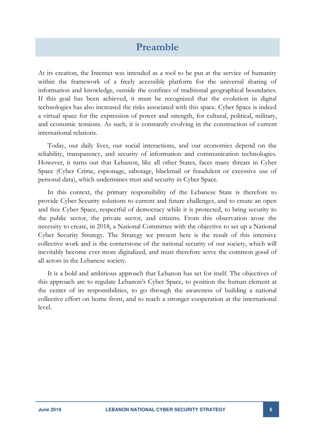## **Preamble**

<span id="page-5-0"></span>At its creation, the Internet was intended as a tool to be put at the service of humanity within the framework of a freely accessible platform for the universal sharing of information and knowledge, outside the confines of traditional geographical boundaries. If this goal has been achieved, it must be recognized that the evolution in digital technologies has also increased the risks associated with this space. Cyber Space is indeed a virtual space for the expression of power and strength, for cultural, political, military, and economic tensions. As such, it is constantly evolving in the construction of current international relations.

Today, our daily lives, our social interactions, and our economies depend on the reliability, transparency, and security of information and communication technologies. However, it turns out that Lebanon, like all other States, faces many threats in Cyber Space (Cyber Crime, espionage, sabotage, blackmail or fraudulent or excessive use of personal data), which undermines trust and security in Cyber Space.

In this context, the primary responsibility of the Lebanese State is therefore to provide Cyber Security solutions to current and future challenges, and to create an open and free Cyber Space, respectful of democracy while it is protected, to bring security to the public sector, the private sector, and citizens. From this observation arose the necessity to create, in 2018, a National Committee with the objective to set up a National Cyber Security Strategy. The Strategy we present here is the result of this intensive collective work and is the cornerstone of the national security of our society, which will inevitably become ever more digitalized, and must therefore serve the common good of all actors in the Lebanese society.

It is a bold and ambitious approach that Lebanon has set for itself. The objectives of this approach are to regulate Lebanon's Cyber Space, to position the human element at the center of its responsibilities, to go through the awareness of building a national collective effort on home front, and to reach a stronger cooperation at the international level.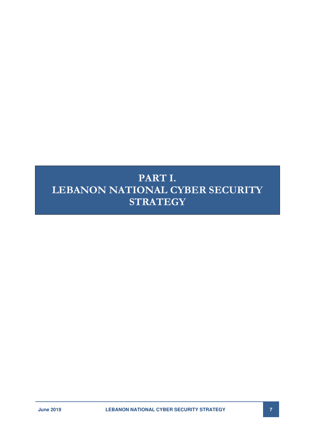## <span id="page-6-0"></span>**PART I. LEBANON NATIONAL CYBER SECURITY STRATEGY**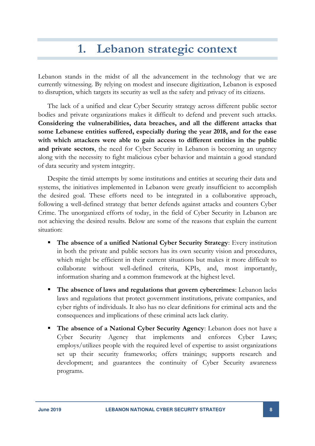## **1. Lebanon strategic context**

<span id="page-7-0"></span>Lebanon stands in the midst of all the advancement in the technology that we are currently witnessing. By relying on modest and insecure digitization, Lebanon is exposed to disruption, which targets its security as well as the safety and privacy of its citizens.

The lack of a unified and clear Cyber Security strategy across different public sector bodies and private organizations makes it difficult to defend and prevent such attacks. **Considering the vulnerabilities, data breaches, and all the different attacks that some Lebanese entities suffered, especially during the year 2018, and for the ease with which attackers were able to gain access to different entities in the public and private sectors**, the need for Cyber Security in Lebanon is becoming an urgency along with the necessity to fight malicious cyber behavior and maintain a good standard of data security and system integrity.

Despite the timid attempts by some institutions and entities at securing their data and systems, the initiatives implemented in Lebanon were greatly insufficient to accomplish the desired goal. These efforts need to be integrated in a collaborative approach, following a well-defined strategy that better defends against attacks and counters Cyber Crime. The unorganized efforts of today, in the field of Cyber Security in Lebanon are not achieving the desired results. Below are some of the reasons that explain the current situation:

- **The absence of a unified National Cyber Security Strategy**: Every institution in both the private and public sectors has its own security vision and procedures, which might be efficient in their current situations but makes it more difficult to collaborate without well-defined criteria, KPIs, and, most importantly, information sharing and a common framework at the highest level.
- **The absence of laws and regulations that govern cybercrimes**: Lebanon lacks laws and regulations that protect government institutions, private companies, and cyber rights of individuals. It also has no clear definitions for criminal acts and the consequences and implications of these criminal acts lack clarity.
- **The absence of a National Cyber Security Agency**: Lebanon does not have a Cyber Security Agency that implements and enforces Cyber Laws; employs/utilizes people with the required level of expertise to assist organizations set up their security frameworks; offers trainings; supports research and development; and guarantees the continuity of Cyber Security awareness programs.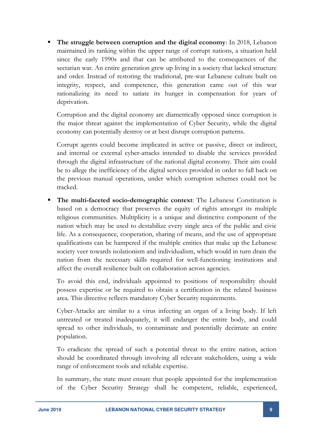**The struggle between corruption and the digital economy**: In 2018, Lebanon maintained its ranking within the upper range of corrupt nations, a situation held since the early 1990s and that can be attributed to the consequences of the sectarian war. An entire generation grew up living in a society that lacked structure and order. Instead of restoring the traditional, pre-war Lebanese culture built on integrity, respect, and competence, this generation came out of this war rationalizing its need to satiate its hunger in compensation for years of deprivation.

Corruption and the digital economy are diametrically opposed since corruption is the major threat against the implementation of Cyber Security, while the digital economy can potentially destroy or at best disrupt corruption patterns.

Corrupt agents could become implicated in active or passive, direct or indirect, and internal or external cyber-attacks intended to disable the services provided through the digital infrastructure of the national digital economy. Their aim could be to allege the inefficiency of the digital services provided in order to fall back on the previous manual operations, under which corruption schemes could not be tracked.

**The multi-faceted socio-demographic context:** The Lebanese Constitution is based on a democracy that preserves the equity of rights amongst its multiple religious communities. Multiplicity is a unique and distinctive component of the nation which may be used to destabilize every single area of the public and civic life. As a consequence, cooperation, sharing of means, and the use of appropriate qualifications can be hampered if the multiple entities that make up the Lebanese society veer towards isolationism and individualism, which would in turn drain the nation from the necessary skills required for well-functioning institutions and affect the overall resilience built on collaboration across agencies.

To avoid this end, individuals appointed to positions of responsibility should possess expertise or be required to obtain a certification in the related business area. This directive reflects mandatory Cyber Security requirements.

Cyber-Attacks are similar to a virus infecting an organ of a living body. If left untreated or treated inadequately, it will endanger the entire body, and could spread to other individuals, to contaminate and potentially decimate an entire population.

To eradicate the spread of such a potential threat to the entire nation, action should be coordinated through involving all relevant stakeholders, using a wide range of enforcement tools and reliable expertise.

In summary, the state must ensure that people appointed for the implementation of the Cyber Security Strategy shall be competent, reliable, experienced,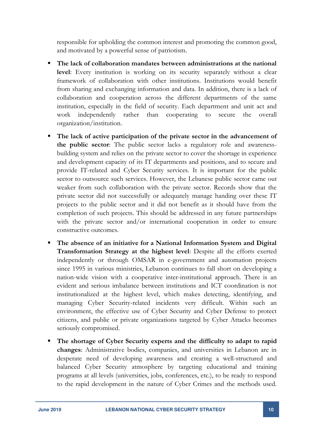responsible for upholding the common interest and promoting the common good, and motivated by a powerful sense of patriotism.

- **The lack of collaboration mandates between administrations at the national level**: Every institution is working on its security separately without a clear framework of collaboration with other institutions. Institutions would benefit from sharing and exchanging information and data. In addition, there is a lack of collaboration and cooperation across the different departments of the same institution, especially in the field of security. Each department and unit act and work independently rather than cooperating to secure the overall organization/institution.
- **The lack of active participation of the private sector in the advancement of the public sector**: The public sector lacks a regulatory role and awarenessbuilding system and relies on the private sector to cover the shortage in experience and development capacity of its IT departments and positions, and to secure and provide IT-related and Cyber Security services. It is important for the public sector to outsource such services. However, the Lebanese public sector came out weaker from such collaboration with the private sector. Records show that the private sector did not successfully or adequately manage handing over these IT projects to the public sector and it did not benefit as it should have from the completion of such projects. This should be addressed in any future partnerships with the private sector and/or international cooperation in order to ensure constructive outcomes.
- **The absence of an initiative for a National Information System and Digital Transformation Strategy at the highest level**: Despite all the efforts exerted independently or through OMSAR in e-government and automation projects since 1995 in various ministries, Lebanon continues to fall short on developing a nation-wide vision with a cooperative inter-institutional approach. There is an evident and serious imbalance between institutions and ICT coordination is not institutionalized at the highest level, which makes detecting, identifying, and managing Cyber Security-related incidents very difficult. Within such an environment, the effective use of Cyber Security and Cyber Defense to protect citizens, and public or private organizations targeted by Cyber Attacks becomes seriously compromised.
- **The shortage of Cyber Security experts and the difficulty to adapt to rapid changes**: Administrative bodies, companies, and universities in Lebanon are in desperate need of developing awareness and creating a well-structured and balanced Cyber Security atmosphere by targeting educational and training programs at all levels (universities, jobs, conferences, etc.), to be ready to respond to the rapid development in the nature of Cyber Crimes and the methods used.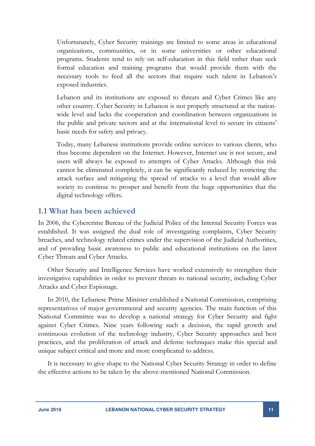Unfortunately, Cyber Security trainings are limited to some areas in educational organizations, communities, or in some universities or other educational programs. Students tend to rely on self-education in this field rather than seek formal education and training programs that would provide them with the necessary tools to feed all the sectors that require such talent in Lebanon's exposed industries.

Lebanon and its institutions are exposed to threats and Cyber Crimes like any other country. Cyber Security in Lebanon is not properly structured at the nationwide level and lacks the cooperation and coordination between organizations in the public and private sectors and at the international level to secure its citizens' basic needs for safety and privacy.

Today, many Lebanese institutions provide online services to various clients, who thus become dependent on the Internet. However, Internet use is not secure, and users will always be exposed to attempts of Cyber Attacks. Although this risk cannot be eliminated completely, it can be significantly reduced by restricting the attack surface and mitigating the spread of attacks to a level that would allow society to continue to prosper and benefit from the huge opportunities that the digital technology offers.

#### <span id="page-10-0"></span>**1.1 What has been achieved**

In 2006, the Cybercrime Bureau of the Judicial Police of the Internal Security Forces was established. It was assigned the dual role of investigating complaints, Cyber Security breaches, and technology related crimes under the supervision of the Judicial Authorities, and of providing basic awareness to public and educational institutions on the latest Cyber Threats and Cyber Attacks.

Other Security and Intelligence Services have worked extensively to strengthen their investigative capabilities in order to prevent threats to national security, including Cyber Attacks and Cyber Espionage.

In 2010, the Lebanese Prime Minister established a National Commission, comprising representatives of major governmental and security agencies. The main function of this National Committee was to develop a national strategy for Cyber Security and fight against Cyber Crimes. Nine years following such a decision, the rapid growth and continuous evolution of the technology industry, Cyber Security approaches and best practices, and the proliferation of attack and defense techniques make this special and unique subject critical and more and more complicated to address.

It is necessary to give shape to the National Cyber Security Strategy in order to define the effective actions to be taken by the above-mentioned National Commission.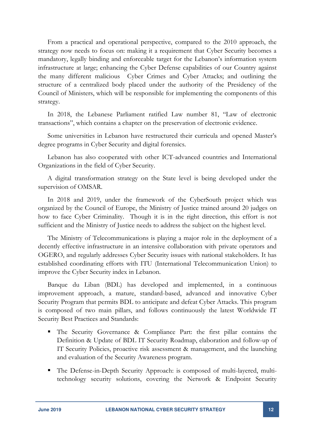From a practical and operational perspective, compared to the 2010 approach, the strategy now needs to focus on: making it a requirement that Cyber Security becomes a mandatory, legally binding and enforceable target for the Lebanon's information system infrastructure at large; enhancing the Cyber Defense capabilities of our Country against the many different malicious Cyber Crimes and Cyber Attacks; and outlining the structure of a centralized body placed under the authority of the Presidency of the Council of Ministers, which will be responsible for implementing the components of this strategy.

In 2018, the Lebanese Parliament ratified Law number 81, "Law of electronic transactions", which contains a chapter on the preservation of electronic evidence.

Some universities in Lebanon have restructured their curricula and opened Master's degree programs in Cyber Security and digital forensics.

Lebanon has also cooperated with other ICT-advanced countries and International Organizations in the field of Cyber Security.

A digital transformation strategy on the State level is being developed under the supervision of OMSAR.

In 2018 and 2019, under the framework of the CyberSouth project which was organized by the Council of Europe, the Ministry of Justice trained around 20 judges on how to face Cyber Criminality. Though it is in the right direction, this effort is not sufficient and the Ministry of Justice needs to address the subject on the highest level.

The Ministry of Telecommunications is playing a major role in the deployment of a decently effective infrastructure in an intensive collaboration with private operators and OGERO, and regularly addresses Cyber Security issues with national stakeholders. It has established coordinating efforts with ITU (International Telecommunication Union) to improve the Cyber Security index in Lebanon.

Banque du Liban (BDL) has developed and implemented, in a continuous improvement approach, a mature, standard-based, advanced and innovative Cyber Security Program that permits BDL to anticipate and defeat Cyber Attacks. This program is composed of two main pillars, and follows continuously the latest Worldwide IT Security Best Practices and Standards:

- The Security Governance & Compliance Part: the first pillar contains the Definition & Update of BDL IT Security Roadmap, elaboration and follow-up of IT Security Policies, proactive risk assessment & management, and the launching and evaluation of the Security Awareness program.
- The Defense-in-Depth Security Approach: is composed of multi-layered, multitechnology security solutions, covering the Network & Endpoint Security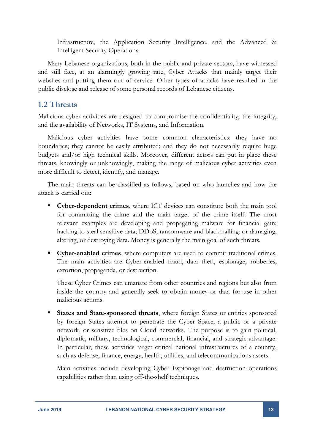Infrastructure, the Application Security Intelligence, and the Advanced & Intelligent Security Operations.

Many Lebanese organizations, both in the public and private sectors, have witnessed and still face, at an alarmingly growing rate, Cyber Attacks that mainly target their websites and putting them out of service. Other types of attacks have resulted in the public disclose and release of some personal records of Lebanese citizens.

#### <span id="page-12-0"></span>**1.2 Threats**

Malicious cyber activities are designed to compromise the confidentiality, the integrity, and the availability of Networks, IT Systems, and Information.

Malicious cyber activities have some common characteristics: they have no boundaries; they cannot be easily attributed; and they do not necessarily require huge budgets and/or high technical skills. Moreover, different actors can put in place these threats, knowingly or unknowingly, making the range of malicious cyber activities even more difficult to detect, identify, and manage.

The main threats can be classified as follows, based on who launches and how the attack is carried out:

- **Cyber-dependent crimes**, where ICT devices can constitute both the main tool for committing the crime and the main target of the crime itself. The most relevant examples are developing and propagating malware for financial gain; hacking to steal sensitive data; DDoS; ransomware and blackmailing; or damaging, altering, or destroying data. Money is generally the main goal of such threats.
- **Cyber-enabled crimes**, where computers are used to commit traditional crimes. The main activities are Cyber-enabled fraud, data theft, espionage, robberies, extortion, propaganda, or destruction.

These Cyber Crimes can emanate from other countries and regions but also from inside the country and generally seek to obtain money or data for use in other malicious actions.

**States and State-sponsored threats**, where foreign States or entities sponsored by foreign States attempt to penetrate the Cyber Space, a public or a private network, or sensitive files on Cloud networks. The purpose is to gain political, diplomatic, military, technological, commercial, financial, and strategic advantage. In particular, these activities target critical national infrastructures of a country, such as defense, finance, energy, health, utilities, and telecommunications assets.

Main activities include developing Cyber Espionage and destruction operations capabilities rather than using off-the-shelf techniques.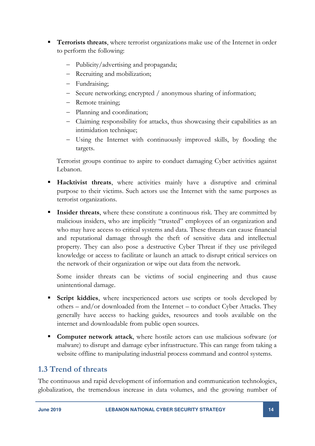- **Terrorists threats**, where terrorist organizations make use of the Internet in order to perform the following:
	- Publicity/advertising and propaganda;
	- Recruiting and mobilization;
	- Fundraising;
	- Secure networking; encrypted / anonymous sharing of information;
	- Remote training;
	- Planning and coordination;
	- Claiming responsibility for attacks, thus showcasing their capabilities as an intimidation technique;
	- Using the Internet with continuously improved skills, by flooding the targets.

Terrorist groups continue to aspire to conduct damaging Cyber activities against Lebanon.

- **Hacktivist threats**, where activities mainly have a disruptive and criminal purpose to their victims. Such actors use the Internet with the same purposes as terrorist organizations.
- **Insider threats**, where these constitute a continuous risk. They are committed by malicious insiders, who are implicitly "trusted" employees of an organization and who may have access to critical systems and data. These threats can cause financial and reputational damage through the theft of sensitive data and intellectual property. They can also pose a destructive Cyber Threat if they use privileged knowledge or access to facilitate or launch an attack to disrupt critical services on the network of their organization or wipe out data from the network.

Some insider threats can be victims of social engineering and thus cause unintentional damage.

- **Script kiddies**, where inexperienced actors use scripts or tools developed by others – and/or downloaded from the Internet – to conduct Cyber Attacks. They generally have access to hacking guides, resources and tools available on the internet and downloadable from public open sources.
- **Computer network attack**, where hostile actors can use malicious software (or malware) to disrupt and damage cyber infrastructure. This can range from taking a website offline to manipulating industrial process command and control systems.

### <span id="page-13-0"></span>**1.3 Trend of threats**

The continuous and rapid development of information and communication technologies, globalization, the tremendous increase in data volumes, and the growing number of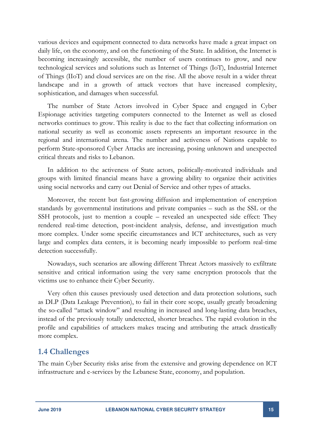various devices and equipment connected to data networks have made a great impact on daily life, on the economy, and on the functioning of the State. In addition, the Internet is becoming increasingly accessible, the number of users continues to grow, and new technological services and solutions such as Internet of Things (IoT), Industrial Internet of Things (IIoT) and cloud services are on the rise. All the above result in a wider threat landscape and in a growth of attack vectors that have increased complexity, sophistication, and damages when successful.

The number of State Actors involved in Cyber Space and engaged in Cyber Espionage activities targeting computers connected to the Internet as well as closed networks continues to grow. This reality is due to the fact that collecting information on national security as well as economic assets represents an important resource in the regional and international arena. The number and activeness of Nations capable to perform State-sponsored Cyber Attacks are increasing, posing unknown and unexpected critical threats and risks to Lebanon.

In addition to the activeness of State actors, politically-motivated individuals and groups with limited financial means have a growing ability to organize their activities using social networks and carry out Denial of Service and other types of attacks.

Moreover, the recent but fast-growing diffusion and implementation of encryption standards by governmental institutions and private companies – such as the SSL or the SSH protocols, just to mention a couple – revealed an unexpected side effect: They rendered real-time detection, post-incident analysis, defense, and investigation much more complex. Under some specific circumstances and ICT architectures, such as very large and complex data centers, it is becoming nearly impossible to perform real-time detection successfully.

Nowadays, such scenarios are allowing different Threat Actors massively to exfiltrate sensitive and critical information using the very same encryption protocols that the victims use to enhance their Cyber Security.

Very often this causes previously used detection and data protection solutions, such as DLP (Data Leakage Prevention), to fail in their core scope, usually greatly broadening the so-called "attack window" and resulting in increased and long-lasting data breaches, instead of the previously totally undetected, shorter breaches. The rapid evolution in the profile and capabilities of attackers makes tracing and attributing the attack drastically more complex.

#### <span id="page-14-0"></span>**1.4 Challenges**

The main Cyber Security risks arise from the extensive and growing dependence on ICT infrastructure and e-services by the Lebanese State, economy, and population.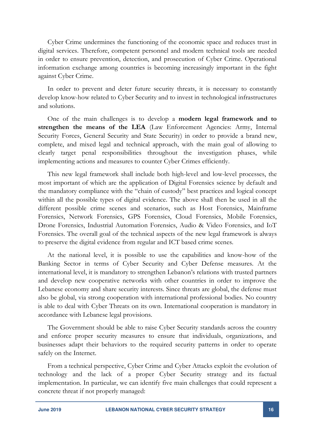Cyber Crime undermines the functioning of the economic space and reduces trust in digital services. Therefore, competent personnel and modern technical tools are needed in order to ensure prevention, detection, and prosecution of Cyber Crime. Operational information exchange among countries is becoming increasingly important in the fight against Cyber Crime.

In order to prevent and deter future security threats, it is necessary to constantly develop know-how related to Cyber Security and to invest in technological infrastructures and solutions.

One of the main challenges is to develop a **modern legal framework and to strengthen the means of the LEA** (Law Enforcement Agencies: Army, Internal Security Forces, General Security and State Security) in order to provide a brand new, complete, and mixed legal and technical approach, with the main goal of allowing to clearly target penal responsibilities throughout the investigation phases, while implementing actions and measures to counter Cyber Crimes efficiently.

This new legal framework shall include both high-level and low-level processes, the most important of which are the application of Digital Forensics science by default and the mandatory compliance with the "chain of custody" best practices and logical concept within all the possible types of digital evidence. The above shall then be used in all the different possible crime scenes and scenarios, such as Host Forensics, Mainframe Forensics, Network Forensics, GPS Forensics, Cloud Forensics, Mobile Forensics, Drone Forensics, Industrial Automation Forensics, Audio & Video Forensics, and IoT Forensics. The overall goal of the technical aspects of the new legal framework is always to preserve the digital evidence from regular and ICT based crime scenes.

At the national level, it is possible to use the capabilities and know-how of the Banking Sector in terms of Cyber Security and Cyber Defense measures. At the international level, it is mandatory to strengthen Lebanon's relations with trusted partners and develop new cooperative networks with other countries in order to improve the Lebanese economy and share security interests. Since threats are global, the defense must also be global, via strong cooperation with international professional bodies. No country is able to deal with Cyber Threats on its own. International cooperation is mandatory in accordance with Lebanese legal provisions.

The Government should be able to raise Cyber Security standards across the country and enforce proper security measures to ensure that individuals, organizations, and businesses adapt their behaviors to the required security patterns in order to operate safely on the Internet.

From a technical perspective, Cyber Crime and Cyber Attacks exploit the evolution of technology and the lack of a proper Cyber Security strategy and its factual implementation. In particular, we can identify five main challenges that could represent a concrete threat if not properly managed: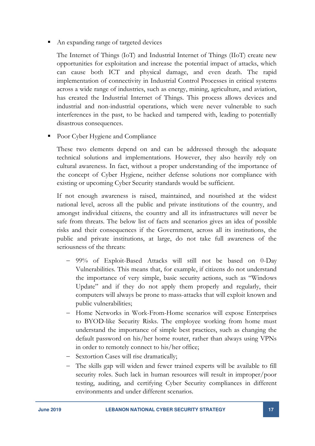An expanding range of targeted devices

The Internet of Things (IoT) and Industrial Internet of Things (IIoT) create new opportunities for exploitation and increase the potential impact of attacks, which can cause both ICT and physical damage, and even death. The rapid implementation of connectivity in Industrial Control Processes in critical systems across a wide range of industries, such as energy, mining, agriculture, and aviation, has created the Industrial Internet of Things. This process allows devices and industrial and non-industrial operations, which were never vulnerable to such interferences in the past, to be hacked and tampered with, leading to potentially disastrous consequences.

• Poor Cyber Hygiene and Compliance

These two elements depend on and can be addressed through the adequate technical solutions and implementations. However, they also heavily rely on cultural awareness. In fact, without a proper understanding of the importance of the concept of Cyber Hygiene, neither defense solutions nor compliance with existing or upcoming Cyber Security standards would be sufficient.

If not enough awareness is raised, maintained, and nourished at the widest national level, across all the public and private institutions of the country, and amongst individual citizens, the country and all its infrastructures will never be safe from threats. The below list of facts and scenarios gives an idea of possible risks and their consequences if the Government, across all its institutions, the public and private institutions, at large, do not take full awareness of the seriousness of the threats:

- 99% of Exploit-Based Attacks will still not be based on 0-Day Vulnerabilities. This means that, for example, if citizens do not understand the importance of very simple, basic security actions, such as "Windows Update" and if they do not apply them properly and regularly, their computers will always be prone to mass-attacks that will exploit known and public vulnerabilities;
- Home Networks in Work-From-Home scenarios will expose Enterprises to BYOD-like Security Risks. The employee working from home must understand the importance of simple best practices, such as changing the default password on his/her home router, rather than always using VPNs in order to remotely connect to his/her office;
- Sextortion Cases will rise dramatically;
- The skills gap will widen and fewer trained experts will be available to fill security roles. Such lack in human resources will result in improper/poor testing, auditing, and certifying Cyber Security compliances in different environments and under different scenarios.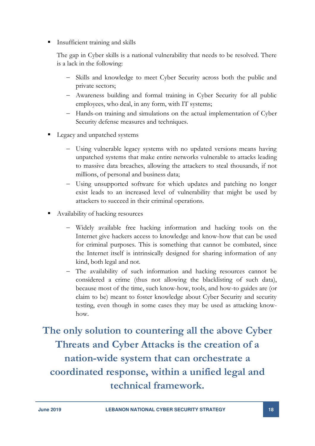Insufficient training and skills

The gap in Cyber skills is a national vulnerability that needs to be resolved. There is a lack in the following:

- Skills and knowledge to meet Cyber Security across both the public and private sectors;
- Awareness building and formal training in Cyber Security for all public employees, who deal, in any form, with IT systems;
- Hands-on training and simulations on the actual implementation of Cyber Security defense measures and techniques.
- Legacy and unpatched systems
	- Using vulnerable legacy systems with no updated versions means having unpatched systems that make entire networks vulnerable to attacks leading to massive data breaches, allowing the attackers to steal thousands, if not millions, of personal and business data;
	- Using unsupported software for which updates and patching no longer exist leads to an increased level of vulnerability that might be used by attackers to succeed in their criminal operations.
- Availability of hacking resources
	- Widely available free hacking information and hacking tools on the Internet give hackers access to knowledge and know-how that can be used for criminal purposes. This is something that cannot be combated, since the Internet itself is intrinsically designed for sharing information of any kind, both legal and not.
	- The availability of such information and hacking resources cannot be considered a crime (thus not allowing the blacklisting of such data), because most of the time, such know-how, tools, and how-to guides are (or claim to be) meant to foster knowledge about Cyber Security and security testing, even though in some cases they may be used as attacking knowhow.

**The only solution to countering all the above Cyber Threats and Cyber Attacks is the creation of a nation-wide system that can orchestrate a coordinated response, within a unified legal and technical framework.**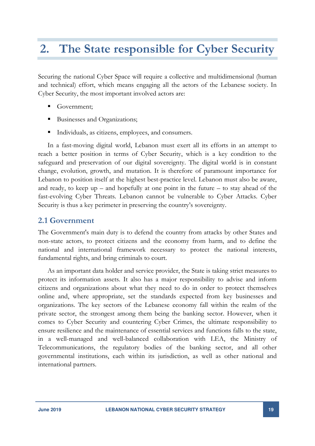## <span id="page-18-0"></span>**2. The State responsible for Cyber Security**

Securing the national Cyber Space will require a collective and multidimensional (human and technical) effort, which means engaging all the actors of the Lebanese society. In Cyber Security, the most important involved actors are:

- Government;
- Businesses and Organizations;
- Individuals, as citizens, employees, and consumers.

In a fast-moving digital world, Lebanon must exert all its efforts in an attempt to reach a better position in terms of Cyber Security, which is a key condition to the safeguard and preservation of our digital sovereignty. The digital world is in constant change, evolution, growth, and mutation. It is therefore of paramount importance for Lebanon to position itself at the highest best-practice level. Lebanon must also be aware, and ready, to keep  $up$  – and hopefully at one point in the future – to stay ahead of the fast-evolving Cyber Threats. Lebanon cannot be vulnerable to Cyber Attacks. Cyber Security is thus a key perimeter in preserving the country's sovereignty.

#### <span id="page-18-1"></span>**2.1 Government**

The Government's main duty is to defend the country from attacks by other States and non-state actors, to protect citizens and the economy from harm, and to define the national and international framework necessary to protect the national interests, fundamental rights, and bring criminals to court.

As an important data holder and service provider, the State is taking strict measures to protect its information assets. It also has a major responsibility to advise and inform citizens and organizations about what they need to do in order to protect themselves online and, where appropriate, set the standards expected from key businesses and organizations. The key sectors of the Lebanese economy fall within the realm of the private sector, the strongest among them being the banking sector. However, when it comes to Cyber Security and countering Cyber Crimes, the ultimate responsibility to ensure resilience and the maintenance of essential services and functions falls to the state, in a well-managed and well-balanced collaboration with LEA, the Ministry of Telecommunications, the regulatory bodies of the banking sector, and all other governmental institutions, each within its jurisdiction, as well as other national and international partners.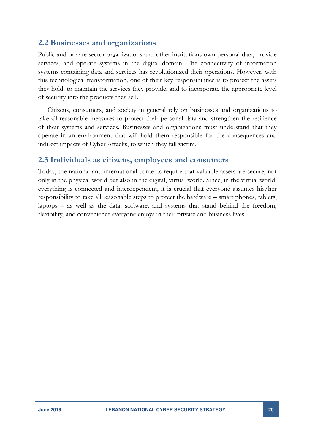#### <span id="page-19-0"></span>**2.2 Businesses and organizations**

Public and private sector organizations and other institutions own personal data, provide services, and operate systems in the digital domain. The connectivity of information systems containing data and services has revolutionized their operations. However, with this technological transformation, one of their key responsibilities is to protect the assets they hold, to maintain the services they provide, and to incorporate the appropriate level of security into the products they sell.

Citizens, consumers, and society in general rely on businesses and organizations to take all reasonable measures to protect their personal data and strengthen the resilience of their systems and services. Businesses and organizations must understand that they operate in an environment that will hold them responsible for the consequences and indirect impacts of Cyber Attacks, to which they fall victim.

#### <span id="page-19-1"></span>**2.3 Individuals as citizens, employees and consumers**

Today, the national and international contexts require that valuable assets are secure, not only in the physical world but also in the digital, virtual world. Since, in the virtual world, everything is connected and interdependent, it is crucial that everyone assumes his/her responsibility to take all reasonable steps to protect the hardware – smart phones, tablets, laptops – as well as the data, software, and systems that stand behind the freedom, flexibility, and convenience everyone enjoys in their private and business lives.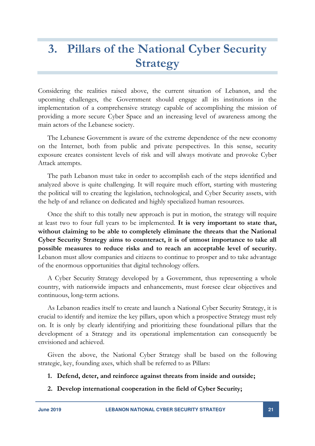## <span id="page-20-0"></span>**3. Pillars of the National Cyber Security Strategy**

Considering the realities raised above, the current situation of Lebanon, and the upcoming challenges, the Government should engage all its institutions in the implementation of a comprehensive strategy capable of accomplishing the mission of providing a more secure Cyber Space and an increasing level of awareness among the main actors of the Lebanese society.

The Lebanese Government is aware of the extreme dependence of the new economy on the Internet, both from public and private perspectives. In this sense, security exposure creates consistent levels of risk and will always motivate and provoke Cyber Attack attempts.

The path Lebanon must take in order to accomplish each of the steps identified and analyzed above is quite challenging. It will require much effort, starting with mustering the political will to creating the legislation, technological, and Cyber Security assets, with the help of and reliance on dedicated and highly specialized human resources.

Once the shift to this totally new approach is put in motion, the strategy will require at least two to four full years to be implemented. **It is very important to state that, without claiming to be able to completely eliminate the threats that the National Cyber Security Strategy aims to counteract, it is of utmost importance to take all possible measures to reduce risks and to reach an acceptable level of security.** Lebanon must allow companies and citizens to continue to prosper and to take advantage of the enormous opportunities that digital technology offers.

A Cyber Security Strategy developed by a Government, thus representing a whole country, with nationwide impacts and enhancements, must foresee clear objectives and continuous, long-term actions.

As Lebanon readies itself to create and launch a National Cyber Security Strategy, it is crucial to identify and itemize the key pillars, upon which a prospective Strategy must rely on. It is only by clearly identifying and prioritizing these foundational pillars that the development of a Strategy and its operational implementation can consequently be envisioned and achieved.

Given the above, the National Cyber Strategy shall be based on the following strategic, key, founding axes, which shall be referred to as Pillars:

#### **1. Defend, deter, and reinforce against threats from inside and outside;**

**2. Develop international cooperation in the field of Cyber Security;**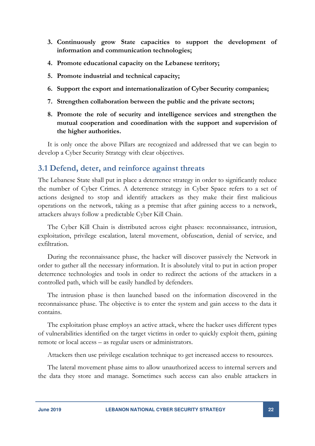- **3. Continuously grow State capacities to support the development of information and communication technologies;**
- **4. Promote educational capacity on the Lebanese territory;**
- **5. Promote industrial and technical capacity;**
- **6. Support the export and internationalization of Cyber Security companies;**
- **7. Strengthen collaboration between the public and the private sectors;**
- **8. Promote the role of security and intelligence services and strengthen the mutual cooperation and coordination with the support and supervision of the higher authorities.**

It is only once the above Pillars are recognized and addressed that we can begin to develop a Cyber Security Strategy with clear objectives.

#### <span id="page-21-0"></span>**3.1 Defend, deter, and reinforce against threats**

The Lebanese State shall put in place a deterrence strategy in order to significantly reduce the number of Cyber Crimes. A deterrence strategy in Cyber Space refers to a set of actions designed to stop and identify attackers as they make their first malicious operations on the network, taking as a premise that after gaining access to a network, attackers always follow a predictable Cyber Kill Chain.

The Cyber Kill Chain is distributed across eight phases: reconnaissance, intrusion, exploitation, privilege escalation, lateral movement, obfuscation, denial of service, and exfiltration.

During the reconnaissance phase, the hacker will discover passively the Network in order to gather all the necessary information. It is absolutely vital to put in action proper deterrence technologies and tools in order to redirect the actions of the attackers in a controlled path, which will be easily handled by defenders.

The intrusion phase is then launched based on the information discovered in the reconnaissance phase. The objective is to enter the system and gain access to the data it contains.

The exploitation phase employs an active attack, where the hacker uses different types of vulnerabilities identified on the target victims in order to quickly exploit them, gaining remote or local access – as regular users or administrators.

Attackers then use privilege escalation technique to get increased access to resources.

The lateral movement phase aims to allow unauthorized access to internal servers and the data they store and manage. Sometimes such access can also enable attackers in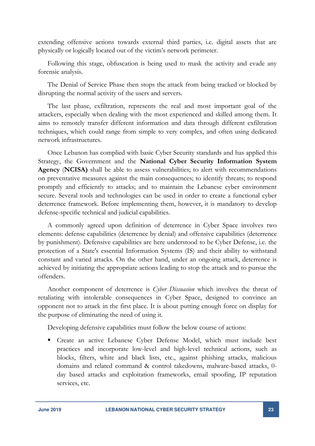extending offensive actions towards external third parties, i.e. digital assets that are physically or logically located out of the victim's network perimeter.

Following this stage, obfuscation is being used to mask the activity and evade any forensic analysis.

The Denial of Service Phase then stops the attack from being tracked or blocked by disrupting the normal activity of the users and servers.

The last phase, exfiltration, represents the real and most important goal of the attackers, especially when dealing with the most experienced and skilled among them. It aims to remotely transfer different information and data through different exfiltration techniques, which could range from simple to very complex, and often using dedicated network infrastructures.

Once Lebanon has complied with basic Cyber Security standards and has applied this Strategy, the Government and the **National Cyber Security Information System Agency** (**NCISA)** shall be able to assess vulnerabilities; to alert with recommendations on preventative measures against the main consequences; to identify threats; to respond promptly and efficiently to attacks; and to maintain the Lebanese cyber environment secure. Several tools and technologies can be used in order to create a functional cyber deterrence framework. Before implementing them, however, it is mandatory to develop defense-specific technical and judicial capabilities.

A commonly agreed upon definition of deterrence in Cyber Space involves two elements: defense capabilities (deterrence by denial) and offensive capabilities (deterrence by punishment). Defensive capabilities are here understood to be Cyber Defense, i.e. the protection of a State's essential Information Systems (IS) and their ability to withstand constant and varied attacks. On the other hand, under an ongoing attack, deterrence is achieved by initiating the appropriate actions leading to stop the attack and to pursue the offenders.

Another component of deterrence is *Cyber Dissuasion* which involves the threat of retaliating with intolerable consequences in Cyber Space, designed to convince an opponent not to attack in the first place. It is about putting enough force on display for the purpose of eliminating the need of using it.

Developing defensive capabilities must follow the below course of actions:

 Create an active Lebanese Cyber Defense Model, which must include best practices and incorporate low-level and high-level technical actions, such as blocks, filters, white and black lists, etc., against phishing attacks, malicious domains and related command & control takedowns, malware-based attacks, 0 day based attacks and exploitation frameworks, email spoofing, IP reputation services, etc.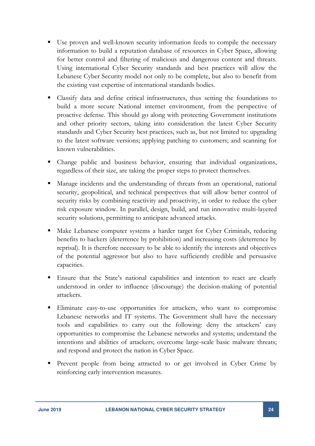- Use proven and well-known security information feeds to compile the necessary information to build a reputation database of resources in Cyber Space, allowing for better control and filtering of malicious and dangerous content and threats. Using international Cyber Security standards and best practices will allow the Lebanese Cyber Security model not only to be complete, but also to benefit from the existing vast expertise of international standards bodies.
- Classify data and define critical infrastructures, thus setting the foundations to build a more secure National internet environment, from the perspective of proactive defense. This should go along with protecting Government institutions and other priority sectors, taking into consideration the latest Cyber Security standards and Cyber Security best practices, such as, but not limited to: upgrading to the latest software versions; applying patching to customers; and scanning for known vulnerabilities.
- Change public and business behavior, ensuring that individual organizations, regardless of their size, are taking the proper steps to protect themselves.
- Manage incidents and the understanding of threats from an operational, national security, geopolitical, and technical perspectives that will allow better control of security risks by combining reactivity and proactivity, in order to reduce the cyber risk exposure window. In parallel, design, build, and run innovative multi-layered security solutions, permitting to anticipate advanced attacks.
- Make Lebanese computer systems a harder target for Cyber Criminals, reducing benefits to hackers (deterrence by prohibition) and increasing costs (deterrence by reprisal). It is therefore necessary to be able to identify the interests and objectives of the potential aggressor but also to have sufficiently credible and persuasive capacities.
- Ensure that the State's national capabilities and intention to react are clearly understood in order to influence (discourage) the decision-making of potential attackers.
- Eliminate easy-to-use opportunities for attackers, who want to compromise Lebanese networks and IT systems. The Government shall have the necessary tools and capabilities to carry out the following: deny the attackers' easy opportunities to compromise the Lebanese networks and systems; understand the intentions and abilities of attackers; overcome large-scale basic malware threats; and respond and protect the nation in Cyber Space.
- Prevent people from being attracted to or get involved in Cyber Crime by reinforcing early intervention measures.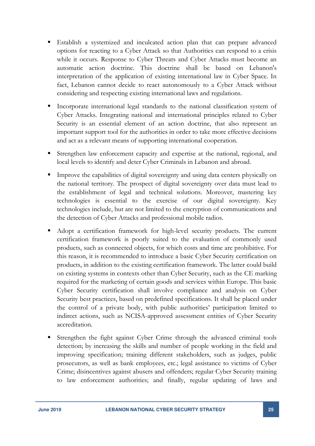- Establish a systemized and inculcated action plan that can prepare advanced options for reacting to a Cyber Attack so that Authorities can respond to a crisis while it occurs. Response to Cyber Threats and Cyber Attacks must become an automatic action doctrine. This doctrine shall be based on Lebanon's interpretation of the application of existing international law in Cyber Space. In fact, Lebanon cannot decide to react autonomously to a Cyber Attack without considering and respecting existing international laws and regulations.
- Incorporate international legal standards to the national classification system of Cyber Attacks. Integrating national and international principles related to Cyber Security is an essential element of an action doctrine, that also represent an important support tool for the authorities in order to take more effective decisions and act as a relevant means of supporting international cooperation.
- Strengthen law enforcement capacity and expertise at the national, regional, and local levels to identify and deter Cyber Criminals in Lebanon and abroad.
- Improve the capabilities of digital sovereignty and using data centers physically on the national territory. The prospect of digital sovereignty over data must lead to the establishment of legal and technical solutions. Moreover, mastering key technologies is essential to the exercise of our digital sovereignty. Key technologies include, but are not limited to the encryption of communications and the detection of Cyber Attacks and professional mobile radios.
- Adopt a certification framework for high-level security products. The current certification framework is poorly suited to the evaluation of commonly used products, such as connected objects, for which costs and time are prohibitive. For this reason, it is recommended to introduce a basic Cyber Security certification on products, in addition to the existing certification framework. The latter could build on existing systems in contexts other than Cyber Security, such as the CE marking required for the marketing of certain goods and services within Europe. This basic Cyber Security certification shall involve compliance and analysis on Cyber Security best practices, based on predefined specifications. It shall be placed under the control of a private body, with public authorities' participation limited to indirect actions, such as NCISA-approved assessment entities of Cyber Security accreditation.
- Strengthen the fight against Cyber Crime through the advanced criminal tools detection; by increasing the skills and number of people working in the field and improving specification; training different stakeholders, such as judges, public prosecutors, as well as bank employees, etc.; legal assistance to victims of Cyber Crime; disincentives against abusers and offenders; regular Cyber Security training to law enforcement authorities; and finally, regular updating of laws and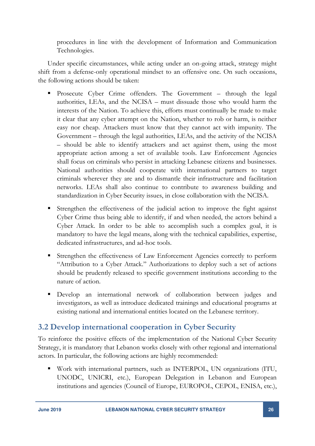procedures in line with the development of Information and Communication Technologies.

Under specific circumstances, while acting under an on-going attack, strategy might shift from a defense-only operational mindset to an offensive one. On such occasions, the following actions should be taken:

- **Prosecute Cyber Crime offenders.** The Government through the legal authorities, LEAs, and the NCISA – must dissuade those who would harm the interests of the Nation. To achieve this, efforts must continually be made to make it clear that any cyber attempt on the Nation, whether to rob or harm, is neither easy nor cheap. Attackers must know that they cannot act with impunity. The Government – through the legal authorities, LEAs, and the activity of the NCISA – should be able to identify attackers and act against them, using the most appropriate action among a set of available tools. Law Enforcement Agencies shall focus on criminals who persist in attacking Lebanese citizens and businesses. National authorities should cooperate with international partners to target criminals wherever they are and to dismantle their infrastructure and facilitation networks. LEAs shall also continue to contribute to awareness building and standardization in Cyber Security issues, in close collaboration with the NCISA.
- Strengthen the effectiveness of the judicial action to improve the fight against Cyber Crime thus being able to identify, if and when needed, the actors behind a Cyber Attack. In order to be able to accomplish such a complex goal, it is mandatory to have the legal means, along with the technical capabilities, expertise, dedicated infrastructures, and ad-hoc tools.
- Strengthen the effectiveness of Law Enforcement Agencies correctly to perform "Attribution to a Cyber Attack." Authorizations to deploy such a set of actions should be prudently released to specific government institutions according to the nature of action.
- Develop an international network of collaboration between judges and investigators, as well as introduce dedicated trainings and educational programs at existing national and international entities located on the Lebanese territory.

### <span id="page-25-0"></span>**3.2 Develop international cooperation in Cyber Security**

To reinforce the positive effects of the implementation of the National Cyber Security Strategy, it is mandatory that Lebanon works closely with other regional and international actors. In particular, the following actions are highly recommended:

 Work with international partners, such as INTERPOL, UN organizations (ITU, UNODC, UNICRI, etc.), European Delegation in Lebanon and European institutions and agencies (Council of Europe, EUROPOL, CEPOL, ENISA, etc.),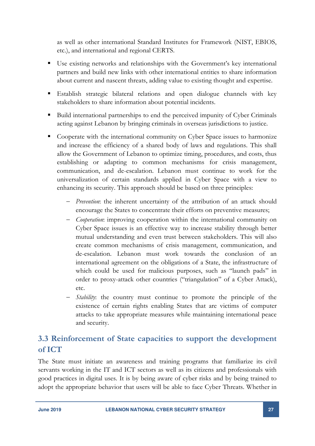as well as other international Standard Institutes for Framework (NIST, EBIOS, etc.), and international and regional CERTS.

- Use existing networks and relationships with the Government's key international partners and build new links with other international entities to share information about current and nascent threats, adding value to existing thought and expertise.
- Establish strategic bilateral relations and open dialogue channels with key stakeholders to share information about potential incidents.
- Build international partnerships to end the perceived impunity of Cyber Criminals acting against Lebanon by bringing criminals in overseas jurisdictions to justice.
- Cooperate with the international community on Cyber Space issues to harmonize and increase the efficiency of a shared body of laws and regulations. This shall allow the Government of Lebanon to optimize timing, procedures, and costs, thus establishing or adapting to common mechanisms for crisis management, communication, and de-escalation. Lebanon must continue to work for the universalization of certain standards applied in Cyber Space with a view to enhancing its security. This approach should be based on three principles:
	- *Prevention*: the inherent uncertainty of the attribution of an attack should encourage the States to concentrate their efforts on preventive measures;
	- *Cooperation*: improving cooperation within the international community on Cyber Space issues is an effective way to increase stability through better mutual understanding and even trust between stakeholders. This will also create common mechanisms of crisis management, communication, and de-escalation. Lebanon must work towards the conclusion of an international agreement on the obligations of a State, the infrastructure of which could be used for malicious purposes, such as "launch pads" in order to proxy-attack other countries ("triangulation" of a Cyber Attack), etc.
	- *Stability*: the country must continue to promote the principle of the existence of certain rights enabling States that are victims of computer attacks to take appropriate measures while maintaining international peace and security.

## <span id="page-26-0"></span>**3.3 Reinforcement of State capacities to support the development of ICT**

The State must initiate an awareness and training programs that familiarize its civil servants working in the IT and ICT sectors as well as its citizens and professionals with good practices in digital uses. It is by being aware of cyber risks and by being trained to adopt the appropriate behavior that users will be able to face Cyber Threats. Whether in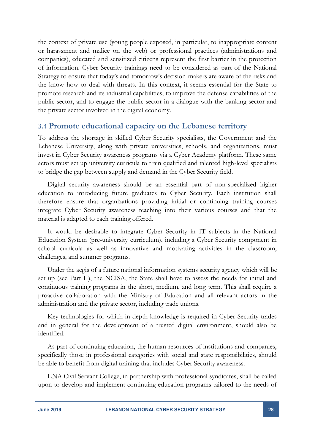the context of private use (young people exposed, in particular, to inappropriate content or harassment and malice on the web) or professional practices (administrations and companies), educated and sensitized citizens represent the first barrier in the protection of information. Cyber Security trainings need to be considered as part of the National Strategy to ensure that today's and tomorrow's decision-makers are aware of the risks and the know how to deal with threats. In this context, it seems essential for the State to promote research and its industrial capabilities, to improve the defense capabilities of the public sector, and to engage the public sector in a dialogue with the banking sector and the private sector involved in the digital economy.

#### <span id="page-27-0"></span>**3.4 Promote educational capacity on the Lebanese territory**

To address the shortage in skilled Cyber Security specialists, the Government and the Lebanese University, along with private universities, schools, and organizations, must invest in Cyber Security awareness programs via a Cyber Academy platform. These same actors must set up university curricula to train qualified and talented high-level specialists to bridge the gap between supply and demand in the Cyber Security field.

Digital security awareness should be an essential part of non-specialized higher education to introducing future graduates to Cyber Security. Each institution shall therefore ensure that organizations providing initial or continuing training courses integrate Cyber Security awareness teaching into their various courses and that the material is adapted to each training offered.

It would be desirable to integrate Cyber Security in IT subjects in the National Education System (pre-university curriculum), including a Cyber Security component in school curricula as well as innovative and motivating activities in the classroom, challenges, and summer programs.

Under the aegis of a future national information systems security agency which will be set up (see Part II), the NCISA, the State shall have to assess the needs for initial and continuous training programs in the short, medium, and long term. This shall require a proactive collaboration with the Ministry of Education and all relevant actors in the administration and the private sector, including trade unions.

Key technologies for which in-depth knowledge is required in Cyber Security trades and in general for the development of a trusted digital environment, should also be identified.

As part of continuing education, the human resources of institutions and companies, specifically those in professional categories with social and state responsibilities, should be able to benefit from digital training that includes Cyber Security awareness.

ENA Civil Servant College, in partnership with professional syndicates, shall be called upon to develop and implement continuing education programs tailored to the needs of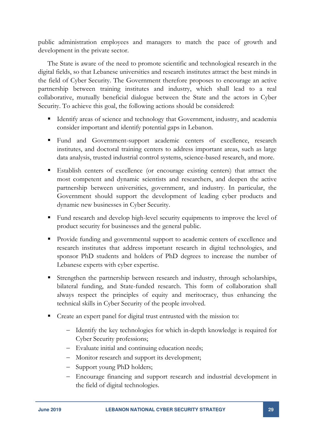public administration employees and managers to match the pace of growth and development in the private sector.

The State is aware of the need to promote scientific and technological research in the digital fields, so that Lebanese universities and research institutes attract the best minds in the field of Cyber Security. The Government therefore proposes to encourage an active partnership between training institutes and industry, which shall lead to a real collaborative, mutually beneficial dialogue between the State and the actors in Cyber Security. To achieve this goal, the following actions should be considered:

- Identify areas of science and technology that Government, industry, and academia consider important and identify potential gaps in Lebanon.
- Fund and Government-support academic centers of excellence, research institutes, and doctoral training centers to address important areas, such as large data analysis, trusted industrial control systems, science-based research, and more.
- Establish centers of excellence (or encourage existing centers) that attract the most competent and dynamic scientists and researchers, and deepen the active partnership between universities, government, and industry. In particular, the Government should support the development of leading cyber products and dynamic new businesses in Cyber Security.
- Fund research and develop high-level security equipments to improve the level of product security for businesses and the general public.
- **Provide funding and governmental support to academic centers of excellence and** research institutes that address important research in digital technologies, and sponsor PhD students and holders of PhD degrees to increase the number of Lebanese experts with cyber expertise.
- Strengthen the partnership between research and industry, through scholarships, bilateral funding, and State-funded research. This form of collaboration shall always respect the principles of equity and meritocracy, thus enhancing the technical skills in Cyber Security of the people involved.
- Create an expert panel for digital trust entrusted with the mission to:
	- Identify the key technologies for which in-depth knowledge is required for Cyber Security professions;
	- Evaluate initial and continuing education needs;
	- Monitor research and support its development;
	- Support young PhD holders;
	- Encourage financing and support research and industrial development in the field of digital technologies.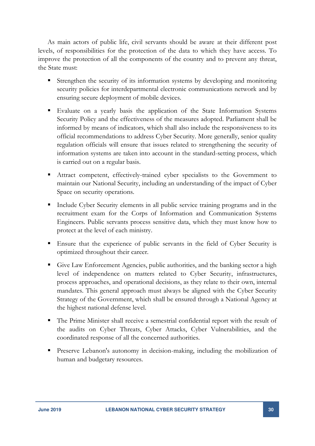As main actors of public life, civil servants should be aware at their different post levels, of responsibilities for the protection of the data to which they have access. To improve the protection of all the components of the country and to prevent any threat, the State must:

- Strengthen the security of its information systems by developing and monitoring security policies for interdepartmental electronic communications network and by ensuring secure deployment of mobile devices.
- Evaluate on a yearly basis the application of the State Information Systems Security Policy and the effectiveness of the measures adopted. Parliament shall be informed by means of indicators, which shall also include the responsiveness to its official recommendations to address Cyber Security. More generally, senior quality regulation officials will ensure that issues related to strengthening the security of information systems are taken into account in the standard-setting process, which is carried out on a regular basis.
- Attract competent, effectively-trained cyber specialists to the Government to maintain our National Security, including an understanding of the impact of Cyber Space on security operations.
- Include Cyber Security elements in all public service training programs and in the recruitment exam for the Corps of Information and Communication Systems Engineers. Public servants process sensitive data, which they must know how to protect at the level of each ministry.
- Ensure that the experience of public servants in the field of Cyber Security is optimized throughout their career.
- Give Law Enforcement Agencies, public authorities, and the banking sector a high level of independence on matters related to Cyber Security, infrastructures, process approaches, and operational decisions, as they relate to their own, internal mandates. This general approach must always be aligned with the Cyber Security Strategy of the Government, which shall be ensured through a National Agency at the highest national defense level.
- The Prime Minister shall receive a semestrial confidential report with the result of the audits on Cyber Threats, Cyber Attacks, Cyber Vulnerabilities, and the coordinated response of all the concerned authorities.
- Preserve Lebanon's autonomy in decision-making, including the mobilization of human and budgetary resources.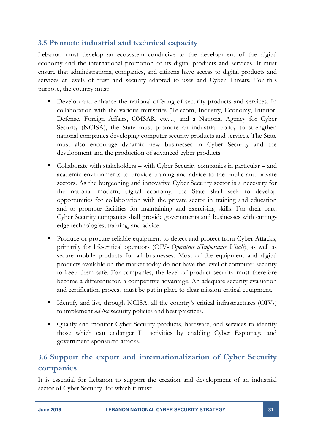### <span id="page-30-0"></span>**3.5 Promote industrial and technical capacity**

Lebanon must develop an ecosystem conducive to the development of the digital economy and the international promotion of its digital products and services. It must ensure that administrations, companies, and citizens have access to digital products and services at levels of trust and security adapted to uses and Cyber Threats. For this purpose, the country must:

- Develop and enhance the national offering of security products and services. In collaboration with the various ministries (Telecom, Industry, Economy, Interior, Defense, Foreign Affairs, OMSAR, etc....) and a National Agency for Cyber Security (NCISA), the State must promote an industrial policy to strengthen national companies developing computer security products and services. The State must also encourage dynamic new businesses in Cyber Security and the development and the production of advanced cyber-products.
- Collaborate with stakeholders with Cyber Security companies in particular and academic environments to provide training and advice to the public and private sectors. As the burgeoning and innovative Cyber Security sector is a necessity for the national modern, digital economy, the State shall seek to develop opportunities for collaboration with the private sector in training and education and to promote facilities for maintaining and exercising skills. For their part, Cyber Security companies shall provide governments and businesses with cuttingedge technologies, training, and advice.
- Produce or procure reliable equipment to detect and protect from Cyber Attacks, primarily for life-critical operators (OIV- *Opérateur d'Importance Vitale*), as well as secure mobile products for all businesses. Most of the equipment and digital products available on the market today do not have the level of computer security to keep them safe. For companies, the level of product security must therefore become a differentiator, a competitive advantage. An adequate security evaluation and certification process must be put in place to clear mission-critical equipment.
- Identify and list, through NCISA, all the country's critical infrastructures (OIVs) to implement *ad-hoc* security policies and best practices.
- Qualify and monitor Cyber Security products, hardware, and services to identify those which can endanger IT activities by enabling Cyber Espionage and government-sponsored attacks.

## <span id="page-30-1"></span>**3.6 Support the export and internationalization of Cyber Security companies**

It is essential for Lebanon to support the creation and development of an industrial sector of Cyber Security, for which it must: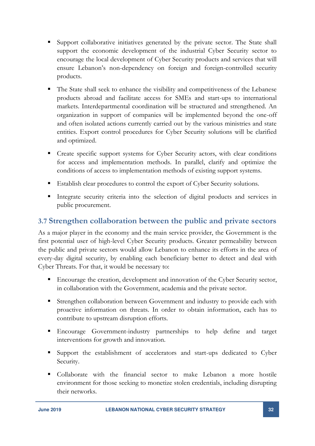- Support collaborative initiatives generated by the private sector. The State shall support the economic development of the industrial Cyber Security sector to encourage the local development of Cyber Security products and services that will ensure Lebanon's non-dependency on foreign and foreign-controlled security products.
- The State shall seek to enhance the visibility and competitiveness of the Lebanese products abroad and facilitate access for SMEs and start-ups to international markets. Interdepartmental coordination will be structured and strengthened. An organization in support of companies will be implemented beyond the one-off and often isolated actions currently carried out by the various ministries and state entities. Export control procedures for Cyber Security solutions will be clarified and optimized.
- **Create specific support systems for Cyber Security actors, with clear conditions** for access and implementation methods. In parallel, clarify and optimize the conditions of access to implementation methods of existing support systems.
- Establish clear procedures to control the export of Cyber Security solutions.
- Integrate security criteria into the selection of digital products and services in public procurement.

### <span id="page-31-0"></span>**3.7 Strengthen collaboration between the public and private sectors**

As a major player in the economy and the main service provider, the Government is the first potential user of high-level Cyber Security products. Greater permeability between the public and private sectors would allow Lebanon to enhance its efforts in the area of every-day digital security, by enabling each beneficiary better to detect and deal with Cyber Threats. For that, it would be necessary to:

- Encourage the creation, development and innovation of the Cyber Security sector, in collaboration with the Government, academia and the private sector.
- Strengthen collaboration between Government and industry to provide each with proactive information on threats. In order to obtain information, each has to contribute to upstream disruption efforts.
- Encourage Government-industry partnerships to help define and target interventions for growth and innovation.
- Support the establishment of accelerators and start-ups dedicated to Cyber Security.
- Collaborate with the financial sector to make Lebanon a more hostile environment for those seeking to monetize stolen credentials, including disrupting their networks.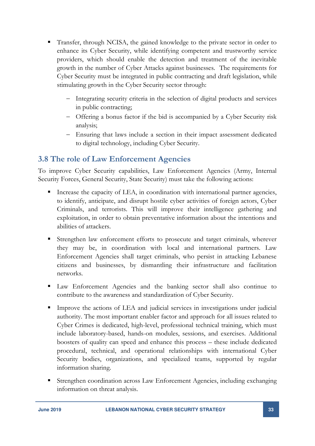- Transfer, through NCISA, the gained knowledge to the private sector in order to enhance its Cyber Security, while identifying competent and trustworthy service providers, which should enable the detection and treatment of the inevitable growth in the number of Cyber Attacks against businesses. The requirements for Cyber Security must be integrated in public contracting and draft legislation, while stimulating growth in the Cyber Security sector through:
	- Integrating security criteria in the selection of digital products and services in public contracting;
	- Offering a bonus factor if the bid is accompanied by a Cyber Security risk analysis;
	- Ensuring that laws include a section in their impact assessment dedicated to digital technology, including Cyber Security.

### <span id="page-32-0"></span>**3.8 The role of Law Enforcement Agencies**

To improve Cyber Security capabilities, Law Enforcement Agencies (Army, Internal Security Forces, General Security, State Security) must take the following actions:

- Increase the capacity of LEA, in coordination with international partner agencies, to identify, anticipate, and disrupt hostile cyber activities of foreign actors, Cyber Criminals, and terrorists. This will improve their intelligence gathering and exploitation, in order to obtain preventative information about the intentions and abilities of attackers.
- Strengthen law enforcement efforts to prosecute and target criminals, wherever they may be, in coordination with local and international partners. Law Enforcement Agencies shall target criminals, who persist in attacking Lebanese citizens and businesses, by dismantling their infrastructure and facilitation networks.
- Law Enforcement Agencies and the banking sector shall also continue to contribute to the awareness and standardization of Cyber Security.
- Improve the actions of LEA and judicial services in investigations under judicial authority. The most important enabler factor and approach for all issues related to Cyber Crimes is dedicated, high-level, professional technical training, which must include laboratory-based, hands-on modules, sessions, and exercises. Additional boosters of quality can speed and enhance this process – these include dedicated procedural, technical, and operational relationships with international Cyber Security bodies, organizations, and specialized teams, supported by regular information sharing.
- Strengthen coordination across Law Enforcement Agencies, including exchanging information on threat analysis.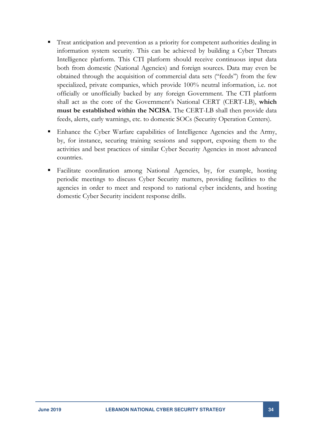- Treat anticipation and prevention as a priority for competent authorities dealing in information system security. This can be achieved by building a Cyber Threats Intelligence platform. This CTI platform should receive continuous input data both from domestic (National Agencies) and foreign sources. Data may even be obtained through the acquisition of commercial data sets ("feeds") from the few specialized, private companies, which provide 100% neutral information, i.e. not officially or unofficially backed by any foreign Government. The CTI platform shall act as the core of the Government's National CERT (CERT-LB), **which must be established within the NCISA**. The CERT-LB shall then provide data feeds, alerts, early warnings, etc. to domestic SOCs (Security Operation Centers).
- Enhance the Cyber Warfare capabilities of Intelligence Agencies and the Army, by, for instance, securing training sessions and support, exposing them to the activities and best practices of similar Cyber Security Agencies in most advanced countries.
- Facilitate coordination among National Agencies, by, for example, hosting periodic meetings to discuss Cyber Security matters, providing facilities to the agencies in order to meet and respond to national cyber incidents, and hosting domestic Cyber Security incident response drills.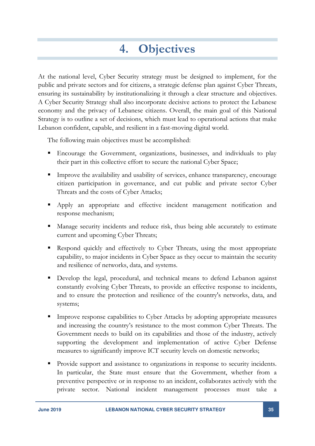## **4. Objectives**

<span id="page-34-0"></span>At the national level, Cyber Security strategy must be designed to implement, for the public and private sectors and for citizens, a strategic defense plan against Cyber Threats, ensuring its sustainability by institutionalizing it through a clear structure and objectives. A Cyber Security Strategy shall also incorporate decisive actions to protect the Lebanese economy and the privacy of Lebanese citizens. Overall, the main goal of this National Strategy is to outline a set of decisions, which must lead to operational actions that make Lebanon confident, capable, and resilient in a fast-moving digital world.

The following main objectives must be accomplished:

- Encourage the Government, organizations, businesses, and individuals to play their part in this collective effort to secure the national Cyber Space;
- Improve the availability and usability of services, enhance transparency, encourage citizen participation in governance, and cut public and private sector Cyber Threats and the costs of Cyber Attacks;
- Apply an appropriate and effective incident management notification and response mechanism;
- Manage security incidents and reduce risk, thus being able accurately to estimate current and upcoming Cyber Threats;
- Respond quickly and effectively to Cyber Threats, using the most appropriate capability, to major incidents in Cyber Space as they occur to maintain the security and resilience of networks, data, and systems.
- Develop the legal, procedural, and technical means to defend Lebanon against constantly evolving Cyber Threats, to provide an effective response to incidents, and to ensure the protection and resilience of the country's networks, data, and systems;
- **Improve response capabilities to Cyber Attacks by adopting appropriate measures** and increasing the country's resistance to the most common Cyber Threats. The Government needs to build on its capabilities and those of the industry, actively supporting the development and implementation of active Cyber Defense measures to significantly improve ICT security levels on domestic networks;
- Provide support and assistance to organizations in response to security incidents. In particular, the State must ensure that the Government, whether from a preventive perspective or in response to an incident, collaborates actively with the private sector. National incident management processes must take a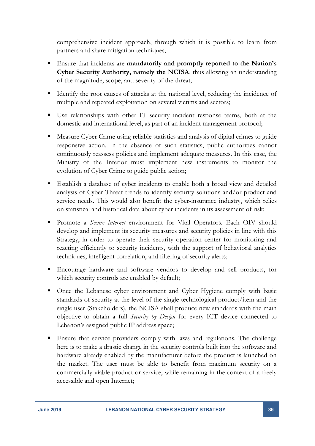comprehensive incident approach, through which it is possible to learn from partners and share mitigation techniques;

- Ensure that incidents are **mandatorily and promptly reported to the Nation's Cyber Security Authority, namely the NCISA**, thus allowing an understanding of the magnitude, scope, and severity of the threat;
- Identify the root causes of attacks at the national level, reducing the incidence of multiple and repeated exploitation on several victims and sectors;
- Use relationships with other IT security incident response teams, both at the domestic and international level, as part of an incident management protocol;
- Measure Cyber Crime using reliable statistics and analysis of digital crimes to guide responsive action. In the absence of such statistics, public authorities cannot continuously reassess policies and implement adequate measures. In this case, the Ministry of the Interior must implement new instruments to monitor the evolution of Cyber Crime to guide public action;
- Establish a database of cyber incidents to enable both a broad view and detailed analysis of Cyber Threat trends to identify security solutions and/or product and service needs. This would also benefit the cyber-insurance industry, which relies on statistical and historical data about cyber incidents in its assessment of risk;
- Promote a *Secure Internet* environment for Vital Operators. Each OIV should develop and implement its security measures and security policies in line with this Strategy, in order to operate their security operation center for monitoring and reacting efficiently to security incidents, with the support of behavioral analytics techniques, intelligent correlation, and filtering of security alerts;
- Encourage hardware and software vendors to develop and sell products, for which security controls are enabled by default;
- Once the Lebanese cyber environment and Cyber Hygiene comply with basic standards of security at the level of the single technological product/item and the single user (Stakeholders), the NCISA shall produce new standards with the main objective to obtain a full *Security by Design* for every ICT device connected to Lebanon's assigned public IP address space;
- Ensure that service providers comply with laws and regulations. The challenge here is to make a drastic change in the security controls built into the software and hardware already enabled by the manufacturer before the product is launched on the market. The user must be able to benefit from maximum security on a commercially viable product or service, while remaining in the context of a freely accessible and open Internet;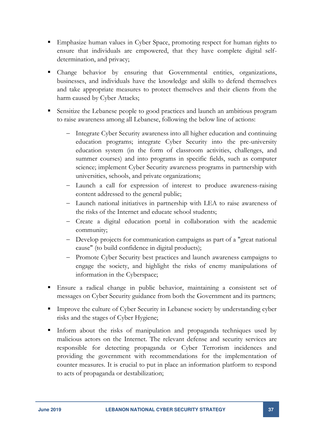- Emphasize human values in Cyber Space, promoting respect for human rights to ensure that individuals are empowered, that they have complete digital selfdetermination, and privacy;
- Change behavior by ensuring that Governmental entities, organizations, businesses, and individuals have the knowledge and skills to defend themselves and take appropriate measures to protect themselves and their clients from the harm caused by Cyber Attacks;
- Sensitize the Lebanese people to good practices and launch an ambitious program to raise awareness among all Lebanese, following the below line of actions:
	- Integrate Cyber Security awareness into all higher education and continuing education programs; integrate Cyber Security into the pre-university education system (in the form of classroom activities, challenges, and summer courses) and into programs in specific fields, such as computer science; implement Cyber Security awareness programs in partnership with universities, schools, and private organizations;
	- Launch a call for expression of interest to produce awareness-raising content addressed to the general public;
	- Launch national initiatives in partnership with LEA to raise awareness of the risks of the Internet and educate school students;
	- Create a digital education portal in collaboration with the academic community;
	- Develop projects for communication campaigns as part of a "great national cause" (to build confidence in digital products);
	- Promote Cyber Security best practices and launch awareness campaigns to engage the society, and highlight the risks of enemy manipulations of information in the Cyberspace;
- Ensure a radical change in public behavior, maintaining a consistent set of messages on Cyber Security guidance from both the Government and its partners;
- **Improve the culture of Cyber Security in Lebanese society by understanding cyber** risks and the stages of Cyber Hygiene;
- Inform about the risks of manipulation and propaganda techniques used by malicious actors on the Internet. The relevant defense and security services are responsible for detecting propaganda or Cyber Terrorism incidences and providing the government with recommendations for the implementation of counter measures. It is crucial to put in place an information platform to respond to acts of propaganda or destabilization;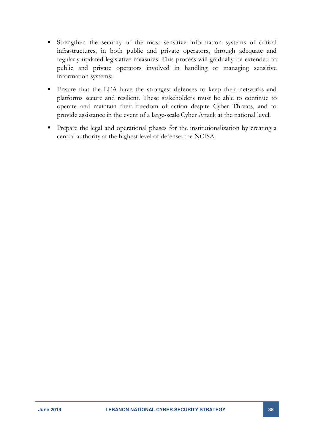- Strengthen the security of the most sensitive information systems of critical infrastructures, in both public and private operators, through adequate and regularly updated legislative measures. This process will gradually be extended to public and private operators involved in handling or managing sensitive information systems;
- Ensure that the LEA have the strongest defenses to keep their networks and platforms secure and resilient. These stakeholders must be able to continue to operate and maintain their freedom of action despite Cyber Threats, and to provide assistance in the event of a large-scale Cyber Attack at the national level.
- Prepare the legal and operational phases for the institutionalization by creating a central authority at the highest level of defense: the NCISA.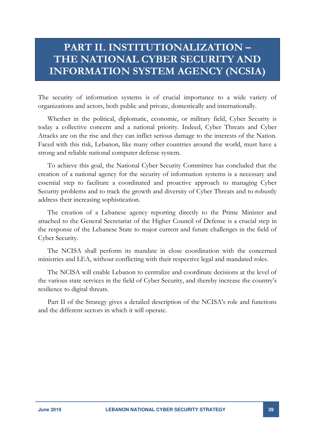## <span id="page-38-0"></span>**PART II. INSTITUTIONALIZATION – THE NATIONAL CYBER SECURITY AND INFORMATION SYSTEM AGENCY (NCSIA)**

The security of information systems is of crucial importance to a wide variety of organizations and actors, both public and private, domestically and internationally.

Whether in the political, diplomatic, economic, or military field, Cyber Security is today a collective concern and a national priority. Indeed, Cyber Threats and Cyber Attacks are on the rise and they can inflict serious damage to the interests of the Nation. Faced with this risk, Lebanon, like many other countries around the world, must have a strong and reliable national computer defense system.

To achieve this goal, the National Cyber Security Committee has concluded that the creation of a national agency for the security of information systems is a necessary and essential step to facilitate a coordinated and proactive approach to managing Cyber Security problems and to track the growth and diversity of Cyber Threats and to robustly address their increasing sophistication.

The creation of a Lebanese agency reporting directly to the Prime Minister and attached to the General Secretariat of the Higher Council of Defense is a crucial step in the response of the Lebanese State to major current and future challenges in the field of Cyber Security.

The NCISA shall perform its mandate in close coordination with the concerned ministries and LEA, without conflicting with their respective legal and mandated roles.

The NCISA will enable Lebanon to centralize and coordinate decisions at the level of the various state services in the field of Cyber Security, and thereby increase the country's resilience to digital threats.

Part II of the Strategy gives a detailed description of the NCISA's role and functions and the different sectors in which it will operate.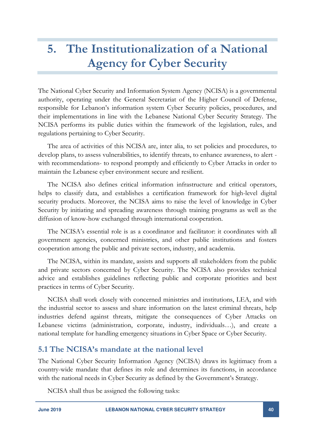## <span id="page-39-0"></span>**5. The Institutionalization of a National Agency for Cyber Security**

The National Cyber Security and Information System Agency (NCISA) is a governmental authority, operating under the General Secretariat of the Higher Council of Defense, responsible for Lebanon's information system Cyber Security policies, procedures, and their implementations in line with the Lebanese National Cyber Security Strategy. The NCISA performs its public duties within the framework of the legislation, rules, and regulations pertaining to Cyber Security.

The area of activities of this NCISA are, inter alia, to set policies and procedures, to develop plans, to assess vulnerabilities, to identify threats, to enhance awareness, to alert with recommendations- to respond promptly and efficiently to Cyber Attacks in order to maintain the Lebanese cyber environment secure and resilient.

The NCISA also defines critical information infrastructure and critical operators, helps to classify data, and establishes a certification framework for high-level digital security products. Moreover, the NCISA aims to raise the level of knowledge in Cyber Security by initiating and spreading awareness through training programs as well as the diffusion of know-how exchanged through international cooperation.

The NCISA's essential role is as a coordinator and facilitator: it coordinates with all government agencies, concerned ministries, and other public institutions and fosters cooperation among the public and private sectors, industry, and academia.

The NCISA, within its mandate, assists and supports all stakeholders from the public and private sectors concerned by Cyber Security. The NCISA also provides technical advice and establishes guidelines reflecting public and corporate priorities and best practices in terms of Cyber Security.

NCISA shall work closely with concerned ministries and institutions, LEA, and with the industrial sector to assess and share information on the latest criminal threats, help industries defend against threats, mitigate the consequences of Cyber Attacks on Lebanese victims (administration, corporate, industry, individuals…), and create a national template for handling emergency situations in Cyber Space or Cyber Security.

#### <span id="page-39-1"></span>**5.1 The NCISA's mandate at the national level**

The National Cyber Security Information Agency (NCISA) draws its legitimacy from a country-wide mandate that defines its role and determines its functions, in accordance with the national needs in Cyber Security as defined by the Government's Strategy.

NCISA shall thus be assigned the following tasks: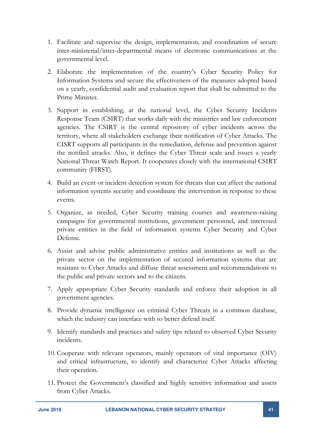- 1. Facilitate and supervise the design, implementation, and coordination of secure inter-ministerial/inter-departmental means of electronic communications at the governmental level.
- 2. Elaborate the implementation of the country's Cyber Security Policy for Information Systems and secure the effectiveness of the measures adopted based on a yearly, confidential audit and evaluation report that shall be submitted to the Prime Minister.
- 3. Support in establishing, at the national level, the Cyber Security Incidents Response Team (CSIRT) that works daily with the ministries and law enforcement agencies. The CSIRT is the central repository of cyber incidents across the territory, where all stakeholders exchange their notification of Cyber Attacks. The CISRT supports all participants in the remediation, defense and prevention against the notified attacks. Also, it defines the Cyber Threat scale and issues a yearly National Threat Watch Report. It cooperates closely with the international CSIRT community (FIRST).
- 4. Build an event or incident detection system for threats that can affect the national information systems security and coordinate the intervention in response to these events.
- 5. Organize, as needed, Cyber Security training courses and awareness-raising campaigns for governmental institutions, government personnel, and interested private entities in the field of information systems Cyber Security and Cyber Defense.
- 6. Assist and advise public administrative entities and institutions as well as the private sector on the implementation of secured information systems that are resistant to Cyber Attacks and diffuse threat assessment and recommendations to the public and private sectors and to the citizens.
- 7. Apply appropriate Cyber Security standards and enforce their adoption in all government agencies.
- 8. Provide dynamic intelligence on criminal Cyber Threats in a common database, which the industry can interface with to better defend itself.
- 9. Identify standards and practices and safety tips related to observed Cyber Security incidents.
- 10. Cooperate with relevant operators, mainly operators of vital importance (OIV) and critical infrastructure, to identify and characterize Cyber Attacks affecting their operation.
- 11. Protect the Government's classified and highly sensitive information and assets from Cyber Attacks.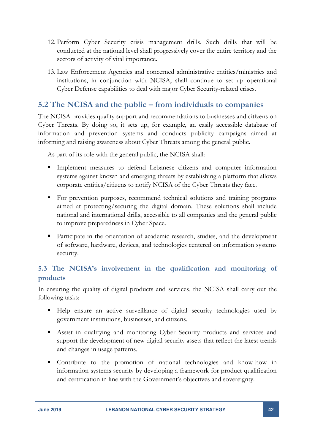- 12. Perform Cyber Security crisis management drills. Such drills that will be conducted at the national level shall progressively cover the entire territory and the sectors of activity of vital importance.
- 13. Law Enforcement Agencies and concerned administrative entities/ministries and institutions, in conjunction with NCISA, shall continue to set up operational Cyber Defense capabilities to deal with major Cyber Security-related crises.

### <span id="page-41-0"></span>**5.2 The NCISA and the public – from individuals to companies**

The NCISA provides quality support and recommendations to businesses and citizens on Cyber Threats. By doing so, it sets up, for example, an easily accessible database of information and prevention systems and conducts publicity campaigns aimed at informing and raising awareness about Cyber Threats among the general public.

As part of its role with the general public, the NCISA shall:

- Implement measures to defend Lebanese citizens and computer information systems against known and emerging threats by establishing a platform that allows corporate entities/citizens to notify NCISA of the Cyber Threats they face.
- For prevention purposes, recommend technical solutions and training programs aimed at protecting/securing the digital domain. These solutions shall include national and international drills, accessible to all companies and the general public to improve preparedness in Cyber Space.
- Participate in the orientation of academic research, studies, and the development of software, hardware, devices, and technologies centered on information systems security.

#### <span id="page-41-1"></span>**5.3 The NCISA's involvement in the qualification and monitoring of products**

In ensuring the quality of digital products and services, the NCISA shall carry out the following tasks:

- Help ensure an active surveillance of digital security technologies used by government institutions, businesses, and citizens.
- Assist in qualifying and monitoring Cyber Security products and services and support the development of new digital security assets that reflect the latest trends and changes in usage patterns.
- Contribute to the promotion of national technologies and know-how in information systems security by developing a framework for product qualification and certification in line with the Government's objectives and sovereignty.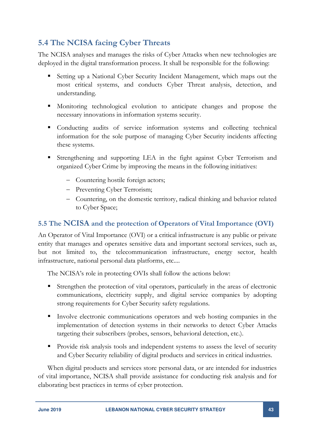## <span id="page-42-0"></span>**5.4 The NCISA facing Cyber Threats**

The NCISA analyses and manages the risks of Cyber Attacks when new technologies are deployed in the digital transformation process. It shall be responsible for the following:

- Setting up a National Cyber Security Incident Management, which maps out the most critical systems, and conducts Cyber Threat analysis, detection, and understanding.
- Monitoring technological evolution to anticipate changes and propose the necessary innovations in information systems security.
- Conducting audits of service information systems and collecting technical information for the sole purpose of managing Cyber Security incidents affecting these systems.
- Strengthening and supporting LEA in the fight against Cyber Terrorism and organized Cyber Crime by improving the means in the following initiatives:
	- Countering hostile foreign actors;
	- Preventing Cyber Terrorism;
	- Countering, on the domestic territory, radical thinking and behavior related to Cyber Space;

#### <span id="page-42-1"></span>**5.5 The NCISA and the protection of Operators of Vital Importance (OVI)**

An Operator of Vital Importance (OVI) or a critical infrastructure is any public or private entity that manages and operates sensitive data and important sectoral services, such as, but not limited to, the telecommunication infrastructure, energy sector, health infrastructure, national personal data platforms, etc....

The NCISA's role in protecting OVIs shall follow the actions below:

- Strengthen the protection of vital operators, particularly in the areas of electronic communications, electricity supply, and digital service companies by adopting strong requirements for Cyber Security safety regulations.
- Involve electronic communications operators and web hosting companies in the implementation of detection systems in their networks to detect Cyber Attacks targeting their subscribers (probes, sensors, behavioral detection, etc.).
- **Provide risk analysis tools and independent systems to assess the level of security** and Cyber Security reliability of digital products and services in critical industries.

When digital products and services store personal data, or are intended for industries of vital importance, NCISA shall provide assistance for conducting risk analysis and for elaborating best practices in terms of cyber protection.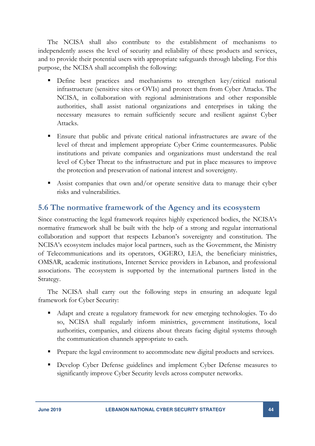The NCISA shall also contribute to the establishment of mechanisms to independently assess the level of security and reliability of these products and services, and to provide their potential users with appropriate safeguards through labeling. For this purpose, the NCISA shall accomplish the following:

- Define best practices and mechanisms to strengthen key/critical national infrastructure (sensitive sites or OVIs) and protect them from Cyber Attacks. The NCISA, in collaboration with regional administrations and other responsible authorities, shall assist national organizations and enterprises in taking the necessary measures to remain sufficiently secure and resilient against Cyber Attacks.
- Ensure that public and private critical national infrastructures are aware of the level of threat and implement appropriate Cyber Crime countermeasures. Public institutions and private companies and organizations must understand the real level of Cyber Threat to the infrastructure and put in place measures to improve the protection and preservation of national interest and sovereignty.
- Assist companies that own and/or operate sensitive data to manage their cyber risks and vulnerabilities.

#### <span id="page-43-0"></span>**5.6 The normative framework of the Agency and its ecosystem**

Since constructing the legal framework requires highly experienced bodies, the NCISA's normative framework shall be built with the help of a strong and regular international collaboration and support that respects Lebanon's sovereignty and constitution. The NCISA's ecosystem includes major local partners, such as the Government, the Ministry of Telecommunications and its operators, OGERO, LEA, the beneficiary ministries, OMSAR, academic institutions, Internet Service providers in Lebanon, and professional associations. The ecosystem is supported by the international partners listed in the Strategy.

The NCISA shall carry out the following steps in ensuring an adequate legal framework for Cyber Security:

- Adapt and create a regulatory framework for new emerging technologies. To do so, NCISA shall regularly inform ministries, government institutions, local authorities, companies, and citizens about threats facing digital systems through the communication channels appropriate to each.
- Prepare the legal environment to accommodate new digital products and services.
- **Develop Cyber Defense guidelines and implement Cyber Defense measures to** significantly improve Cyber Security levels across computer networks.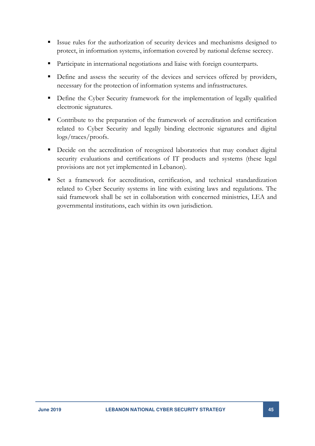- Issue rules for the authorization of security devices and mechanisms designed to protect, in information systems, information covered by national defense secrecy.
- Participate in international negotiations and liaise with foreign counterparts.
- Define and assess the security of the devices and services offered by providers, necessary for the protection of information systems and infrastructures.
- Define the Cyber Security framework for the implementation of legally qualified electronic signatures.
- Contribute to the preparation of the framework of accreditation and certification related to Cyber Security and legally binding electronic signatures and digital logs/traces/proofs.
- Decide on the accreditation of recognized laboratories that may conduct digital security evaluations and certifications of IT products and systems (these legal provisions are not yet implemented in Lebanon).
- Set a framework for accreditation, certification, and technical standardization related to Cyber Security systems in line with existing laws and regulations. The said framework shall be set in collaboration with concerned ministries, LEA and governmental institutions, each within its own jurisdiction.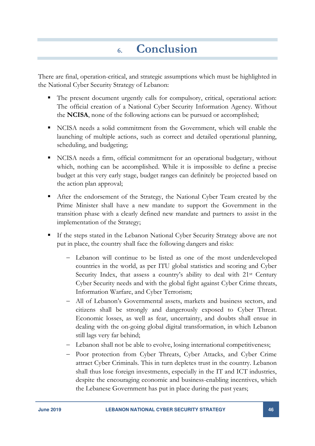## **6. Conclusion**

<span id="page-45-0"></span>There are final, operation-critical, and strategic assumptions which must be highlighted in the National Cyber Security Strategy of Lebanon:

- The present document urgently calls for compulsory, critical, operational action: The official creation of a National Cyber Security Information Agency. Without the **NCISA**, none of the following actions can be pursued or accomplished;
- NCISA needs a solid commitment from the Government, which will enable the launching of multiple actions, such as correct and detailed operational planning, scheduling, and budgeting;
- NCISA needs a firm, official commitment for an operational budgetary, without which, nothing can be accomplished. While it is impossible to define a precise budget at this very early stage, budget ranges can definitely be projected based on the action plan approval;
- After the endorsement of the Strategy, the National Cyber Team created by the Prime Minister shall have a new mandate to support the Government in the transition phase with a clearly defined new mandate and partners to assist in the implementation of the Strategy;
- If the steps stated in the Lebanon National Cyber Security Strategy above are not put in place, the country shall face the following dangers and risks:
	- Lebanon will continue to be listed as one of the most underdeveloped countries in the world, as per ITU global statistics and scoring and Cyber Security Index, that assess a country's ability to deal with 21<sup>st</sup> Century Cyber Security needs and with the global fight against Cyber Crime threats, Information Warfare, and Cyber Terrorism;
	- All of Lebanon's Governmental assets, markets and business sectors, and citizens shall be strongly and dangerously exposed to Cyber Threat. Economic losses, as well as fear, uncertainty, and doubts shall ensue in dealing with the on-going global digital transformation, in which Lebanon still lags very far behind;
	- Lebanon shall not be able to evolve, losing international competitiveness;
	- Poor protection from Cyber Threats, Cyber Attacks, and Cyber Crime attract Cyber Criminals. This in turn depletes trust in the country. Lebanon shall thus lose foreign investments, especially in the IT and ICT industries, despite the encouraging economic and business-enabling incentives, which the Lebanese Government has put in place during the past years;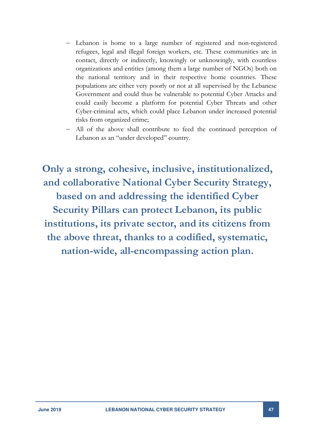- Lebanon is home to a large number of registered and non-registered refugees, legal and illegal foreign workers, etc. These communities are in contact, directly or indirectly, knowingly or unknowingly, with countless organizations and entities (among them a large number of NGOs) both on the national territory and in their respective home countries. These populations are either very poorly or not at all supervised by the Lebanese Government and could thus be vulnerable to potential Cyber Attacks and could easily become a platform for potential Cyber Threats and other Cyber-criminal acts, which could place Lebanon under increased potential risks from organized crime;
- All of the above shall contribute to feed the continued perception of Lebanon as an "under developed" country.

**Only a strong, cohesive, inclusive, institutionalized, and collaborative National Cyber Security Strategy, based on and addressing the identified Cyber Security Pillars can protect Lebanon, its public institutions, its private sector, and its citizens from the above threat, thanks to a codified, systematic, nation-wide, all-encompassing action plan.**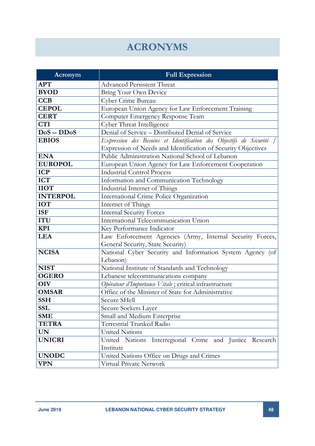## **ACRONYMS**

<span id="page-47-0"></span>

| Acronym         | <b>Full Expression</b>                                             |  |  |
|-----------------|--------------------------------------------------------------------|--|--|
| <b>APT</b>      | <b>Advanced Persistent Threat</b>                                  |  |  |
| <b>BYOD</b>     | Bring Your Own Device                                              |  |  |
| <b>CCB</b>      | Cyber Crime Bureau                                                 |  |  |
| <b>CEPOL</b>    | European Union Agency for Law Enforcement Training                 |  |  |
| <b>CERT</b>     | Computer Emergency Response Team                                   |  |  |
| <b>CTI</b>      | Cyber Threat Intelligence                                          |  |  |
| $DoS - DDoS$    | Denial of Service - Distributed Denial of Service                  |  |  |
| <b>EBIOS</b>    | Expression des Besoins et Identification des Objectifs de Sécurité |  |  |
|                 | Expression of Needs and Identification of Security Objectives      |  |  |
| <b>ENA</b>      | Public Administration National School of Lebanon                   |  |  |
| <b>EUROPOL</b>  | European Union Agency for Law Enforcement Cooperation              |  |  |
| <b>ICP</b>      | <b>Industrial Control Process</b>                                  |  |  |
| <b>ICT</b>      | Information and Communication Technology                           |  |  |
| <b>IIOT</b>     | Industrial Internet of Things                                      |  |  |
| <b>INTERPOL</b> | International Crime Police Organization                            |  |  |
| <b>IOT</b>      | Internet of Things                                                 |  |  |
| <b>ISF</b>      | <b>Internal Security Forces</b>                                    |  |  |
| <b>ITU</b>      | International Telecommunication Union                              |  |  |
| <b>KPI</b>      | Key Performance Indicator                                          |  |  |
| <b>LEA</b>      | Law Enforcement Agencies (Army, Internal Security Forces,          |  |  |
|                 | General Security, State Security)                                  |  |  |
| <b>NCISA</b>    | National Cyber Security and Information System Agency (of          |  |  |
|                 | Lebanon)                                                           |  |  |
| <b>NIST</b>     | National Institute of Standards and Technology                     |  |  |
| <b>OGERO</b>    | Lebanese telecommunications company                                |  |  |
| <b>OIV</b>      | Opérateur d'Importance Vitale; critical infrastructure             |  |  |
| <b>OMSAR</b>    | Office of the Minister of State for Administrative                 |  |  |
| <b>SSH</b>      | Secure SHell                                                       |  |  |
| <b>SSL</b>      | Secure Sockets Layer                                               |  |  |
| <b>SME</b>      | Small and Medium Enterprise                                        |  |  |
| <b>TETRA</b>    | Terrestrial Trunked Radio                                          |  |  |
| <b>UN</b>       | <b>United Nations</b>                                              |  |  |
| <b>UNICRI</b>   | United Nations Interregional Crime and Justice Research            |  |  |
|                 | Institute                                                          |  |  |
| <b>UNODC</b>    | United Nations Office on Drugs and Crimes                          |  |  |
| <b>VPN</b>      | Virtual Private Network                                            |  |  |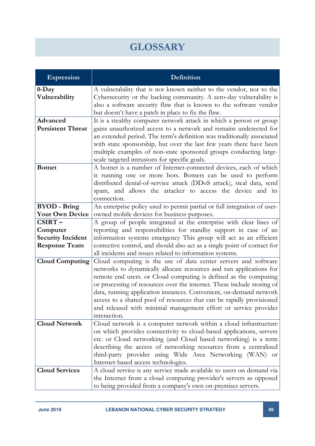## **GLOSSARY**

<span id="page-48-0"></span>

| <b>Expression</b>                                                      | Definition                                                                                                                                                                                                                                                                                                                                                                                                                                                                                                           |  |  |
|------------------------------------------------------------------------|----------------------------------------------------------------------------------------------------------------------------------------------------------------------------------------------------------------------------------------------------------------------------------------------------------------------------------------------------------------------------------------------------------------------------------------------------------------------------------------------------------------------|--|--|
| $0$ -Day<br>Vulnerability                                              | A vulnerability that is not known neither to the vendor, nor to the<br>Cybersecurity or the hacking community. A zero-day vulnerability is<br>also a software security flaw that is known to the software vendor<br>but doesn't have a patch in place to fix the flaw.                                                                                                                                                                                                                                               |  |  |
| Advanced<br><b>Persistent Threat</b>                                   | It is a stealthy computer network attack in which a person or group<br>gains unauthorized access to a network and remains undetected for<br>an extended period. The term's definition was traditionally associated<br>with state sponsorship, but over the last few years there have been<br>multiple examples of non-state sponsored groups conducting large-<br>scale targeted intrusions for specific goals.                                                                                                      |  |  |
| <b>Botnet</b>                                                          | A botnet is a number of Internet-connected devices, each of which<br>is running one or more bots. Botnets can be used to perform<br>distributed denial-of-service attack (DDoS attack), steal data, send<br>spam, and allows the attacker to access the device and its<br>connection.                                                                                                                                                                                                                                |  |  |
| <b>BYOD</b> - Bring<br><b>Your Own Device</b>                          | An enterprise policy used to permit partial or full integration of user-<br>owned mobile devices for business purposes.                                                                                                                                                                                                                                                                                                                                                                                              |  |  |
| CSIRT-<br>Computer<br><b>Security Incident</b><br><b>Response Team</b> | A group of people integrated at the enterprise with clear lines of<br>reporting and responsibilities for standby support in case of an<br>information systems emergency This group will act as an efficient<br>corrective control, and should also act as a single point of contact for<br>all incidents and issues related to information systems.                                                                                                                                                                  |  |  |
| <b>Cloud Computing</b>                                                 | Cloud computing is the use of data center servers and software<br>networks to dynamically allocate resources and run applications for<br>remote end users. or Cloud computing is defined as the computing<br>or processing of resources over the internet. These include storing of<br>data, running application instances. Convenient, on-demand network<br>access to a shared pool of resources that can be rapidly provisioned<br>and released with minimal management effort or service provider<br>interaction. |  |  |
| <b>Cloud Network</b>                                                   | Cloud network is a computer network within a cloud infrastructure<br>on which provides connectivity to cloud-based applications, servers<br>etc. or Cloud networking (and Cloud based networking) is a term<br>describing the access of networking resources from a centralized<br>third-party provider using Wide Area Networking (WAN) or<br>Internet-based access technologies.                                                                                                                                   |  |  |
| <b>Cloud Services</b>                                                  | A cloud service is any service made available to users on demand via<br>the Internet from a cloud computing provider's servers as opposed<br>to being provided from a company's own on-premises servers.                                                                                                                                                                                                                                                                                                             |  |  |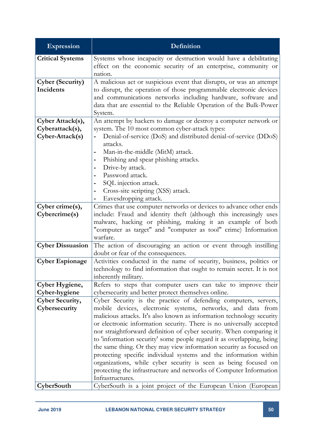| <b>Expression</b>                                                                   | Definition                                                                                    |  |  |
|-------------------------------------------------------------------------------------|-----------------------------------------------------------------------------------------------|--|--|
| <b>Critical Systems</b>                                                             | Systems whose incapacity or destruction would have a debilitating                             |  |  |
|                                                                                     | effect on the economic security of an enterprise, community or                                |  |  |
|                                                                                     | nation.                                                                                       |  |  |
| <b>Cyber (Security)</b>                                                             | A malicious act or suspicious event that disrupts, or was an attempt                          |  |  |
| Incidents                                                                           | to disrupt, the operation of those programmable electronic devices                            |  |  |
|                                                                                     | and communications networks including hardware, software and                                  |  |  |
|                                                                                     | data that are essential to the Reliable Operation of the Bulk-Power                           |  |  |
|                                                                                     | System.                                                                                       |  |  |
| Cyber Attack(s),                                                                    | An attempt by hackers to damage or destroy a computer network or                              |  |  |
| Cyberattack(s),                                                                     | system. The 10 most common cyber-attack types:                                                |  |  |
| Cyber-Attack(s)                                                                     | Denial-of-service (DoS) and distributed denial-of-service (DDoS)                              |  |  |
|                                                                                     | attacks.<br>Man-in-the-middle (MitM) attack.                                                  |  |  |
|                                                                                     | Phishing and spear phishing attacks.                                                          |  |  |
|                                                                                     | Drive-by attack.                                                                              |  |  |
|                                                                                     | Password attack.                                                                              |  |  |
|                                                                                     | SQL injection attack.                                                                         |  |  |
|                                                                                     | Cross-site scripting (XSS) attack.                                                            |  |  |
|                                                                                     | Eavesdropping attack.                                                                         |  |  |
| Cyber crime(s),                                                                     | Crimes that use computer networks or devices to advance other ends                            |  |  |
| include: Fraud and identity theft (although this increasingly uses<br>Cybercrime(s) |                                                                                               |  |  |
|                                                                                     | malware, hacking or phishing, making it an example of both                                    |  |  |
|                                                                                     | "computer as target" and "computer as tool" crime) Information                                |  |  |
|                                                                                     | warfare.                                                                                      |  |  |
| <b>Cyber Dissuasion</b>                                                             | The action of discouraging an action or event through instilling                              |  |  |
|                                                                                     | doubt or fear of the consequences.                                                            |  |  |
| <b>Cyber Espionage</b>                                                              | Activities conducted in the name of security, business, politics or                           |  |  |
|                                                                                     | technology to find information that ought to remain secret. It is not<br>inherently military. |  |  |
| Cyber Hygiene,                                                                      | Refers to steps that computer users can take to improve their                                 |  |  |
| Cyber-hygiene                                                                       | cybersecurity and better protect themselves online.                                           |  |  |
| <b>Cyber Security,</b>                                                              | Cyber Security is the practice of defending computers, servers,                               |  |  |
| Cybersecurity                                                                       | mobile devices, electronic systems, networks, and data from                                   |  |  |
|                                                                                     | malicious attacks. It's also known as information technology security                         |  |  |
|                                                                                     | or electronic information security. There is no universally accepted                          |  |  |
|                                                                                     | nor straightforward definition of cyber security. When comparing it                           |  |  |
|                                                                                     | to 'information security' some people regard it as overlapping, being                         |  |  |
|                                                                                     | the same thing. Or they may view information security as focused on                           |  |  |
|                                                                                     | protecting specific individual systems and the information within                             |  |  |
|                                                                                     | organizations, while cyber security is seen as being focused on                               |  |  |
|                                                                                     | protecting the infrastructure and networks of Computer Information                            |  |  |
|                                                                                     | Infrastructures.                                                                              |  |  |
| CyberSouth                                                                          | CyberSouth is a joint project of the European Union (European)                                |  |  |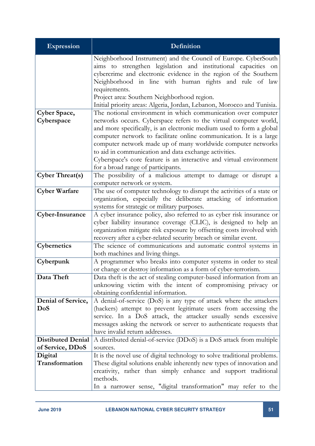| <b>Expression</b>                                           | Definition                                                                                                            |  |  |
|-------------------------------------------------------------|-----------------------------------------------------------------------------------------------------------------------|--|--|
|                                                             | Neighborhood Instrument) and the Council of Europe. CyberSouth                                                        |  |  |
|                                                             | aims to strengthen legislation and institutional capacities on                                                        |  |  |
|                                                             | cybercrime and electronic evidence in the region of the Southern                                                      |  |  |
|                                                             | Neighborhood in line with human rights and rule of law                                                                |  |  |
|                                                             | requirements.                                                                                                         |  |  |
|                                                             | Project area: Southern Neighborhood region.                                                                           |  |  |
|                                                             | Initial priority areas: Algeria, Jordan, Lebanon, Morocco and Tunisia.                                                |  |  |
| Cyber Space,                                                | The notional environment in which communication over computer                                                         |  |  |
| Cyberspace                                                  | networks occurs. Cyberspace refers to the virtual computer world,                                                     |  |  |
|                                                             | and more specifically, is an electronic medium used to form a global                                                  |  |  |
|                                                             | computer network to facilitate online communication. It is a large                                                    |  |  |
|                                                             | computer network made up of many worldwide computer networks<br>to aid in communication and data exchange activities. |  |  |
|                                                             | Cyberspace's core feature is an interactive and virtual environment                                                   |  |  |
|                                                             | for a broad range of participants.                                                                                    |  |  |
| <b>Cyber Threat(s)</b>                                      | The possibility of a malicious attempt to damage or disrupt a                                                         |  |  |
|                                                             | computer network or system.                                                                                           |  |  |
| <b>Cyber Warfare</b>                                        | The use of computer technology to disrupt the activities of a state or                                                |  |  |
|                                                             | organization, especially the deliberate attacking of information                                                      |  |  |
|                                                             | systems for strategic or military purposes.                                                                           |  |  |
| Cyber-Insurance                                             | A cyber insurance policy, also referred to as cyber risk insurance or                                                 |  |  |
|                                                             | cyber liability insurance coverage (CLIC), is designed to help an                                                     |  |  |
|                                                             | organization mitigate risk exposure by offsetting costs involved with                                                 |  |  |
|                                                             | recovery after a cyber-related security breach or similar event.                                                      |  |  |
| Cybernetics                                                 | The science of communications and automatic control systems in                                                        |  |  |
|                                                             | both machines and living things.                                                                                      |  |  |
| Cyberpunk                                                   | A programmer who breaks into computer systems in order to steal                                                       |  |  |
| Data Theft                                                  | or change or destroy information as a form of cyber-terrorism.                                                        |  |  |
|                                                             | Data theft is the act of stealing computer-based information from an                                                  |  |  |
| unknowing victim with the intent of compromising privacy or |                                                                                                                       |  |  |
| Denial of Service,                                          | obtaining confidential information.<br>A denial-of-service (DoS) is any type of attack where the attackers            |  |  |
| DoS                                                         | (hackers) attempt to prevent legitimate users from accessing the                                                      |  |  |
|                                                             | service. In a DoS attack, the attacker usually sends excessive                                                        |  |  |
|                                                             | messages asking the network or server to authenticate requests that                                                   |  |  |
|                                                             | have invalid return addresses.                                                                                        |  |  |
| <b>Distibuted Denial</b>                                    | A distributed denial-of-service (DDoS) is a DoS attack from multiple                                                  |  |  |
| of Service, DDoS                                            | sources.                                                                                                              |  |  |
| Digital                                                     | It is the novel use of digital technology to solve traditional problems.                                              |  |  |
| Transformation                                              | These digital solutions enable inherently new types of innovation and                                                 |  |  |
|                                                             | creativity, rather than simply enhance and support traditional                                                        |  |  |
|                                                             | methods.                                                                                                              |  |  |
|                                                             | In a narrower sense, "digital transformation" may refer to the                                                        |  |  |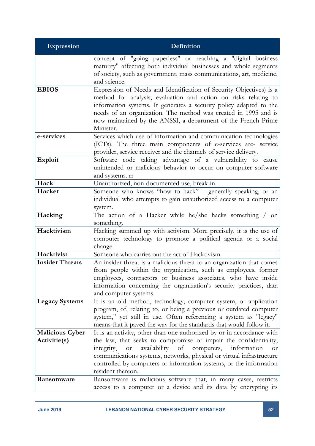| <b>Expression</b>      | Definition                                                                                                                                                      |  |  |
|------------------------|-----------------------------------------------------------------------------------------------------------------------------------------------------------------|--|--|
|                        | concept of "going paperless" or reaching a "digital business                                                                                                    |  |  |
|                        | maturity" affecting both individual businesses and whole segments<br>of society, such as government, mass communications, art, medicine,                        |  |  |
|                        | and science.                                                                                                                                                    |  |  |
| <b>EBIOS</b>           | Expression of Needs and Identification of Security Objectives) is a                                                                                             |  |  |
|                        | method for analysis, evaluation and action on risks relating to                                                                                                 |  |  |
|                        | information systems. It generates a security policy adapted to the                                                                                              |  |  |
|                        | needs of an organization. The method was created in 1995 and is                                                                                                 |  |  |
|                        | now maintained by the ANSSI, a department of the French Prime<br>Minister.                                                                                      |  |  |
| e-services             | Services which use of information and communication technologies                                                                                                |  |  |
|                        | (ICTs). The three main components of e-services are- service                                                                                                    |  |  |
|                        | provider, service receiver and the channels of service delivery.                                                                                                |  |  |
| <b>Exploit</b>         | Software code taking advantage of a vulnerability to cause                                                                                                      |  |  |
|                        | unintended or malicious behavior to occur on computer software                                                                                                  |  |  |
| Hack                   | and systems. rr<br>Unauthorized, non-documented use, break-in.                                                                                                  |  |  |
| Hacker                 | Someone who knows "how to hack" - generally speaking, or an                                                                                                     |  |  |
|                        | individual who attempts to gain unauthorized access to a computer                                                                                               |  |  |
|                        | system.                                                                                                                                                         |  |  |
| Hacking                | The action of a Hacker while he/she hacks something / on                                                                                                        |  |  |
|                        | something.                                                                                                                                                      |  |  |
| Hacktivism             | Hacking summed up with activism. More precisely, it is the use of                                                                                               |  |  |
|                        | computer technology to promote a political agenda or a social<br>change.                                                                                        |  |  |
| Hacktivist             | Someone who carries out the act of Hacktivism.                                                                                                                  |  |  |
| <b>Insider Threats</b> | An insider threat is a malicious threat to an organization that comes                                                                                           |  |  |
|                        | from people within the organization, such as employees, former                                                                                                  |  |  |
|                        | employees, contractors or business associates, who have inside                                                                                                  |  |  |
|                        | information concerning the organization's security practices, data                                                                                              |  |  |
| <b>Legacy Systems</b>  | and computer systems.<br>It is an old method, technology, computer system, or application                                                                       |  |  |
|                        | program, of, relating to, or being a previous or outdated computer                                                                                              |  |  |
|                        | system," yet still in use. Often referencing a system as "legacy"                                                                                               |  |  |
|                        | means that it paved the way for the standards that would follow it.                                                                                             |  |  |
| <b>Malicious Cyber</b> | It is an activity, other than one authorized by or in accordance with                                                                                           |  |  |
| Activitie(s)           | the law, that seeks to compromise or impair the confidentiality,                                                                                                |  |  |
|                        | availability<br>of<br>computers,<br>information<br>integrity,<br><b>or</b><br><b>or</b><br>communications systems, networks, physical or virtual infrastructure |  |  |
|                        | controlled by computers or information systems, or the information                                                                                              |  |  |
|                        | resident thereon.                                                                                                                                               |  |  |
| Ransomware             | Ransomware is malicious software that, in many cases, restricts                                                                                                 |  |  |
|                        | access to a computer or a device and its data by encrypting its                                                                                                 |  |  |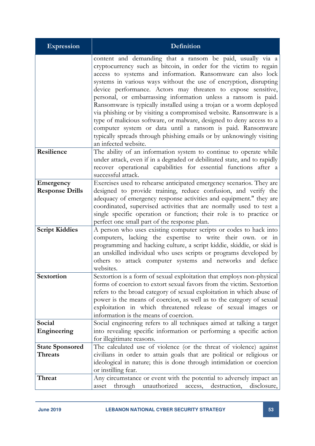| <b>Expression</b>                        | <b>Definition</b>                                                                                                                                                                                                                                                                                                                                                                                                                                                                                                                                                                                                                                                                                                                                                                        |  |  |
|------------------------------------------|------------------------------------------------------------------------------------------------------------------------------------------------------------------------------------------------------------------------------------------------------------------------------------------------------------------------------------------------------------------------------------------------------------------------------------------------------------------------------------------------------------------------------------------------------------------------------------------------------------------------------------------------------------------------------------------------------------------------------------------------------------------------------------------|--|--|
|                                          | content and demanding that a ransom be paid, usually via a<br>cryptocurrency such as bitcoin, in order for the victim to regain<br>access to systems and information. Ransomware can also lock<br>systems in various ways without the use of encryption, disrupting<br>device performance. Actors may threaten to expose sensitive,<br>personal, or embarrassing information unless a ransom is paid.<br>Ransomware is typically installed using a trojan or a worm deployed<br>via phishing or by visiting a compromised website. Ransomware is a<br>type of malicious software, or malware, designed to deny access to a<br>computer system or data until a ransom is paid. Ransomware<br>typically spreads through phishing emails or by unknowingly visiting<br>an infected website. |  |  |
| Resilience                               | The ability of an information system to continue to operate while<br>under attack, even if in a degraded or debilitated state, and to rapidly<br>recover operational capabilities for essential functions after a<br>successful attack.                                                                                                                                                                                                                                                                                                                                                                                                                                                                                                                                                  |  |  |
| Emergency<br><b>Response Drills</b>      | Exercises used to rehearse anticipated emergency scenarios. They are<br>designed to provide training, reduce confusion, and verify the<br>adequacy of emergency response activities and equipment." they are<br>coordinated, supervised activities that are normally used to test a<br>single specific operation or function; their role is to practice or<br>perfect one small part of the response plan.                                                                                                                                                                                                                                                                                                                                                                               |  |  |
| <b>Script Kiddies</b>                    | A person who uses existing computer scripts or codes to hack into<br>computers, lacking the expertise to write their own. or in<br>programming and hacking culture, a script kiddie, skiddie, or skid is<br>an unskilled individual who uses scripts or programs developed by<br>others to attack computer systems and networks and deface<br>websites.                                                                                                                                                                                                                                                                                                                                                                                                                                  |  |  |
| Sextortion                               | Sextortion is a form of sexual exploitation that employs non-physical<br>forms of coercion to extort sexual favors from the victim. Sextortion<br>refers to the broad category of sexual exploitation in which abuse of<br>power is the means of coercion, as well as to the category of sexual<br>exploitation in which threatened release of sexual images or<br>information is the means of coercion.                                                                                                                                                                                                                                                                                                                                                                                 |  |  |
| Social<br>Engineering                    | Social engineering refers to all techniques aimed at talking a target<br>into revealing specific information or performing a specific action<br>for illegitimate reasons.                                                                                                                                                                                                                                                                                                                                                                                                                                                                                                                                                                                                                |  |  |
| <b>State Sponsored</b><br><b>Threats</b> | The calculated use of violence (or the threat of violence) against<br>civilians in order to attain goals that are political or religious or<br>ideological in nature; this is done through intimidation or coercion<br>or instilling fear.                                                                                                                                                                                                                                                                                                                                                                                                                                                                                                                                               |  |  |
| Threat                                   | Any circumstance or event with the potential to adversely impact an<br>through<br>unauthorized<br>destruction,<br>disclosure,<br>asset<br>access,                                                                                                                                                                                                                                                                                                                                                                                                                                                                                                                                                                                                                                        |  |  |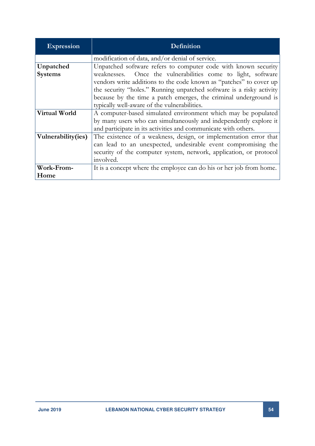| <b>Expression</b>  | Definition                                                           |  |  |
|--------------------|----------------------------------------------------------------------|--|--|
|                    | modification of data, and/or denial of service.                      |  |  |
| Unpatched          | Unpatched software refers to computer code with known security       |  |  |
| <b>Systems</b>     | weaknesses. Once the vulnerabilities come to light, software         |  |  |
|                    | vendors write additions to the code known as "patches" to cover up   |  |  |
|                    | the security "holes." Running unpatched software is a risky activity |  |  |
|                    | because by the time a patch emerges, the criminal underground is     |  |  |
|                    | typically well-aware of the vulnerabilities.                         |  |  |
| Virtual World      | A computer-based simulated environment which may be populated        |  |  |
|                    | by many users who can simultaneously and independently explore it    |  |  |
|                    | and participate in its activities and communicate with others.       |  |  |
| Vulnerability(ies) | The existence of a weakness, design, or implementation error that    |  |  |
|                    | can lead to an unexpected, undesirable event compromising the        |  |  |
|                    | security of the computer system, network, application, or protocol   |  |  |
|                    | involved.                                                            |  |  |
| <b>Work-From-</b>  | It is a concept where the employee can do his or her job from home.  |  |  |
| Home               |                                                                      |  |  |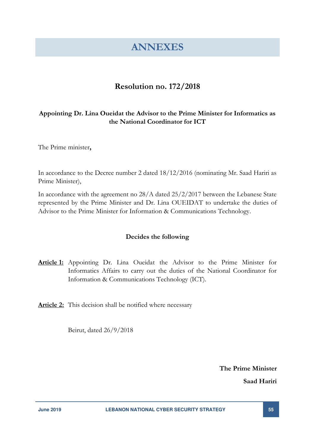## **ANNEXES**

### **Resolution no. 172/2018**

#### <span id="page-54-0"></span>**Appointing Dr. Lina Oueidat the Advisor to the Prime Minister for Informatics as the National Coordinator for ICT**

The Prime minister**,** 

In accordance to the Decree number 2 dated 18/12/2016 (nominating Mr. Saad Hariri as Prime Minister),

In accordance with the agreement no 28/A dated 25/2/2017 between the Lebanese State represented by the Prime Minister and Dr. Lina OUEIDAT to undertake the duties of Advisor to the Prime Minister for Information & Communications Technology.

#### **Decides the following**

- **Article 1:** Appointing Dr. Lina Oueidat the Advisor to the Prime Minister for Informatics Affairs to carry out the duties of the National Coordinator for Information & Communications Technology (ICT).
- **Article 2:** This decision shall be notified where necessary

Beirut, dated 26/9/2018

**The Prime Minister** 

**Saad Hariri**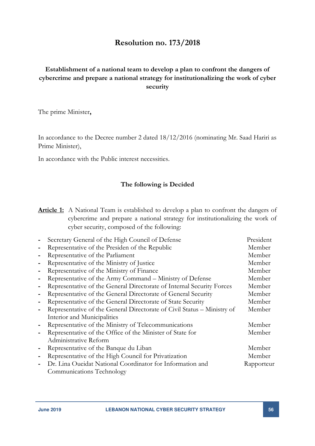#### **Resolution no. 173/2018**

#### **Establishment of a national team to develop a plan to confront the dangers of cybercrime and prepare a national strategy for institutionalizing the work of cyber security**

The prime Minister**,** 

In accordance to the Decree number 2 dated 18/12/2016 (nominating Mr. Saad Hariri as Prime Minister),

In accordance with the Public interest necessities.

#### **The following is Decided**

**Article 1:** A National Team is established to develop a plan to confront the dangers of cybercrime and prepare a national strategy for institutionalizing the work of cyber security, composed of the following:

|   | Secretary General of the High Council of Defense                        | President  |
|---|-------------------------------------------------------------------------|------------|
|   | Representative of the Presiden of the Republic                          | Member     |
|   | Representative of the Parliament                                        | Member     |
|   | Representative of the Ministry of Justice                               | Member     |
| ۰ | Representative of the Ministry of Finance                               | Member     |
| - | Representative of the Army Command - Ministry of Defense                | Member     |
|   | Representative of the General Directorate of Internal Security Forces   | Member     |
| - | Representative of the General Directorate of General Security           | Member     |
|   | Representative of the General Directorate of State Security             | Member     |
| ۰ | Representative of the General Directorate of Civil Status - Ministry of | Member     |
|   | Interior and Municipalities                                             |            |
|   | Representative of the Ministry of Telecommunications                    | Member     |
|   | Representative of the Office of the Minister of State for               | Member     |
|   | Administrative Reform                                                   |            |
| - | Representative of the Banque du Liban                                   | Member     |
| - | Representative of the High Council for Privatization                    | Member     |
|   | Dr. Lina Oueidat National Coordinator for Information and               | Rapporteur |
|   | Communications Technology                                               |            |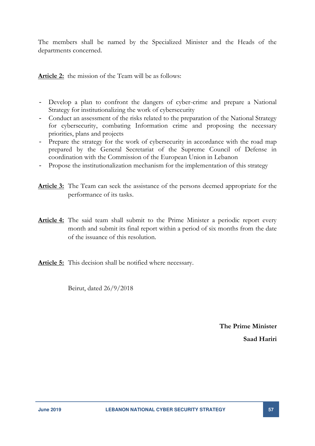The members shall be named by the Specialized Minister and the Heads of the departments concerned.

**Article 2:** the mission of the Team will be as follows:

- Develop a plan to confront the dangers of cyber-crime and prepare a National Strategy for institutionalizing the work of cybersecurity
- Conduct an assessment of the risks related to the preparation of the National Strategy for cybersecurity, combating Information crime and proposing the necessary priorities, plans and projects
- Prepare the strategy for the work of cybersecurity in accordance with the road map prepared by the General Secretariat of the Supreme Council of Defense in coordination with the Commission of the European Union in Lebanon
- Propose the institutionalization mechanism for the implementation of this strategy
- **Article 3:** The Team can seek the assistance of the persons deemed appropriate for the performance of its tasks.
- **Article 4:** The said team shall submit to the Prime Minister a periodic report every month and submit its final report within a period of six months from the date of the issuance of this resolution.
- **Article 5:** This decision shall be notified where necessary.

Beirut, dated 26/9/2018

**The Prime Minister Saad Hariri**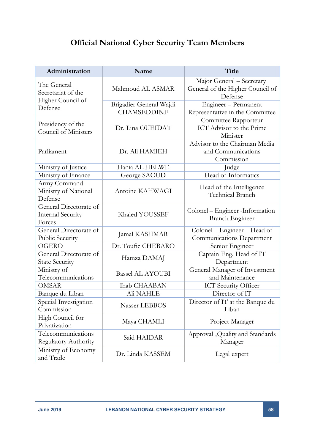## **Official National Cyber Security Team Members**

| Administration                                               | Name                                          | Title                                                                    |
|--------------------------------------------------------------|-----------------------------------------------|--------------------------------------------------------------------------|
| The General<br>Secretariat of the                            | Mahmoud AL ASMAR                              | Major General - Secretary<br>General of the Higher Council of<br>Defense |
| Higher Council of<br>Defense                                 | Brigadier General Wajdi<br><b>CHAMSEDDINE</b> | Engineer - Permanent<br>Representative in the Committee                  |
| Presidency of the<br>Council of Ministers                    | Dr. Lina OUEIDAT                              | Committee Rapporteur<br>ICT Advisor to the Prime<br>Minister             |
| Parliament                                                   | Dr. Ali HAMIEH                                | Advisor to the Chairman Media<br>and Communications<br>Commission        |
| Ministry of Justice                                          | Hania AL HELWE                                | Judge                                                                    |
| Ministry of Finance                                          | George SAOUD                                  | Head of Informatics                                                      |
| Army Command-<br>Ministry of National<br>Defense             | Antoine KAHWAGI                               | Head of the Intelligence<br>Technical Branch                             |
| General Directorate of<br><b>Internal Security</b><br>Forces | Khaled YOUSSEF                                | Colonel – Engineer - Information<br><b>Branch Engineer</b>               |
| General Directorate of<br><b>Public Security</b>             | Jamal KASHMAR                                 | Colonel – Engineer – Head of<br>Communications Department                |
| OGERO                                                        | Dr. Toufic CHEBARO                            | Senior Engineer                                                          |
| General Directorate of<br><b>State Security</b>              | Hamza DAMAJ                                   | Captain Eng. Head of IT<br>Department                                    |
| Ministry of<br>Telecommunications                            | <b>Bassel AL AYOUBI</b>                       | General Manager of Investment<br>and Maintenance                         |
| <b>OMSAR</b>                                                 | <b>Ihab CHAABAN</b>                           | ICT Security Officer                                                     |
| Banque du Liban                                              | Ali NAHLE                                     | Director of IT                                                           |
| Special Investigation<br>Commission                          | Nasser LEBBOS                                 | Director of IT at the Banque du<br>Liban                                 |
| High Council for<br>Privatization                            | Maya CHAMLI                                   | Project Manager                                                          |
| Telecommunications<br><b>Regulatory Authority</b>            | Said HAIDAR                                   | Approval ,Quality and Standards<br>Manager                               |
| Ministry of Economy<br>and Trade                             | Dr. Linda KASSEM                              | Legal expert                                                             |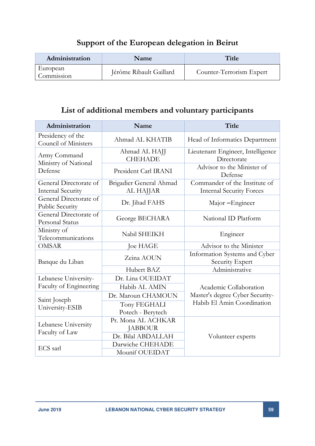## **Support of the European delegation in Beirut**

| Administration         | <b>Name</b>             | Title                    |
|------------------------|-------------------------|--------------------------|
| European<br>Commission | Jérôme Ribault Gaillard | Counter-Terrorism Expert |

## **List of additional members and voluntary participants**

| Administration                                     | Name                                 | <b>Title</b>                                                     |
|----------------------------------------------------|--------------------------------------|------------------------------------------------------------------|
| Presidency of the<br>Council of Ministers          | Ahmad AL KHATIB                      | Head of Informatics Department                                   |
| Army Command<br>Ministry of National               | Ahmad AL HAJJ<br><b>CHEHADE</b>      | Lieutenant Engineer, Intelligence<br>Directorate                 |
| Defense                                            | President Carl IRANI                 | Advisor to the Minister of<br>Defense                            |
| General Directorate of<br><b>Internal Security</b> | Brigadier General Ahmad<br>AL HAJJAR | Commander of the Institute of<br><b>Internal Security Forces</b> |
| General Directorate of<br><b>Public Security</b>   | Dr. Jihad FAHS                       | Major - Engineer                                                 |
| General Directorate of<br><b>Personal Status</b>   | George BECHARA                       | National ID Platform                                             |
| Ministry of<br>Telecommunications                  | Nabil SHEIKH                         | Engineer                                                         |
| <b>OMSAR</b>                                       | <b>Joe HAGE</b>                      | Advisor to the Minister                                          |
| Banque du Liban                                    | Zeina AOUN                           | Information Systems and Cyber<br>Security Expert                 |
|                                                    | Hubert BAZ                           | Administrative                                                   |
| Lebanese University-                               | Dr. Lina OUEIDAT                     |                                                                  |
| Faculty of Engineering                             | Habib AL AMIN                        | Academic Collaboration                                           |
|                                                    | Dr. Maroun CHAMOUN                   | Master's degree Cyber Security-                                  |
| Saint Joseph<br>University-ESIB                    | Tony FEGHALI<br>Potech - Berytech    | Habib El Amin Coordination                                       |
| Lebanese University                                | Pr. Mona AL ACHKAR<br><b>JABBOUR</b> |                                                                  |
| Faculty of Law                                     | Dr. Bilal ABDALLAH                   | Volunteer experts                                                |
| ECS sarl                                           | Darwiche CHEHADE                     |                                                                  |
|                                                    | Mounif OUEIDAT                       |                                                                  |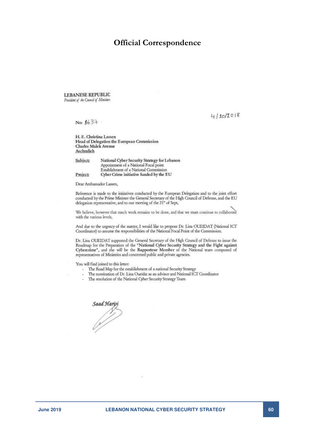#### **Official Correspondence**

**LEBANESE REPUBLIC** President of the Council of Ministers

 $4/10/2018$ 

No: 1637

H. E. Christina Lassen Head of Delegation the European Commission Charles Malek Avenue Aschrafieh

| Subject: | National Cyber Security Strategy for Lebanon |
|----------|----------------------------------------------|
|          | Appointment of a National Focal point        |
|          | Establishment of a National Commission       |
| Project  | Cyber Crime initiative funded by the EU      |

Dear Ambassador Lassen,

Reference is made to the initiatives conducted by the European Delegation and to the joint effort conducted by the Prime Minister the General Secretary of the High Council of Defense, and the EU delegation representative, and to our meeting of the 21" of Sept,

We believe, however that much work remains to be done, and that we must continue to collaborate with the various levels,

And due to the urgency of the matter, I would like to propose Dr. Lina OUEIDAT (National ICT Coordinator) to assume the responsibilities of the National Focal Point of the Commission.

Dr. Lina OUEIDAT supported the General Secretary of the High Council of Defense to issue the Roadmap for the Preparation of the "National Cyber Security Strategy and the Fight against Cybercrime", and she will be the Rapporteur Member of the National team composed of representatives of Ministries and concerned public and private agencies.

You will find joined to this letter:

- The Road Map for the establishment of a national Security Strategy
- The nomination of Dr. Lina Oueidat as an advisor and National ICT Coordinator
- The resolution of the National Cyber Security Strategy Team

Saad Hary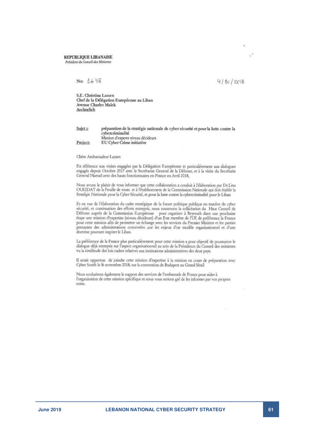#### REPUBLIQUE LIBANAISE

Président du Conseil des Ministres

#### No:  $4638$

#### $411c/2c18$

S.E. Christina Lassen Chef de la Délégation Européenne au Liban Avenue Charles Malek Aschrafieh

#### Sujet :: préparation de la stratégie nationale de cyber sécurité et pour la lutte contre la cybercriminalité Mission d'experts niveau décideurs Project: EU Cyber Crime initiative

Chère Ambassadeur Lassen

En référence aux visites engagées par la Délégation Européenne et particulièrement aux dialogues engagés depuis Octobre 2017 avec le Secrétariat General de la Défense, et à la visite du Secrétaire General Hamad avec des hauts fonctionnaires en France en Avril 2018,

Nous avons le plaisir de vous informer que cette collaboration a conduit à l'élaboration par Dr.Lina<br>OUEIDAT de la Feuille de route et à l'établissement de la Commission Nationale qui doit établir la Stratégie Nationale pour la Cyber Sécurité, et pour la lutte contre la cybercriminalité pour le Liban

Et en vue de l'élaboration du cadre stratégique de la future politique publique en matière de cyber sécurité, et continuation des efforts entrepris, nous soutenons la sollicitation du Haut Conseil de<br>Défense auprès de la Commission Européenne pour organiser à Beyrouth dans une prochaine<br>étape une mission d'expertise (niv pour cette mission afin de permettre un échange avec les services du Premier Ministre et les parties prenantes des administrations concernées sur les enjeux d'un modèle organisationnel et d'une doctrine pouvant inspirer le Liban.

La préférence de la France plus particulièrement pour cette mission a pour objectif de poursuivre le<br>dialogue déjà entrepris sur l'aspect organisationnel au sein de la Présidence du Conseil des ministres vu la similitude des lois cadres relatives aux institutions administratives des deux pays.

Il serait opportun de joindre cette mission d'expertise à la mission en cours de préparation avec Cyber South le 16 novembre 2018, sur la convention de Budapest au Grand Sérail

Nous souhaitons également le support des services de l'ambassade de France pour aider à l'organisation de cette mission spécifique et nous vous serions gré de les informer par vos propres soins.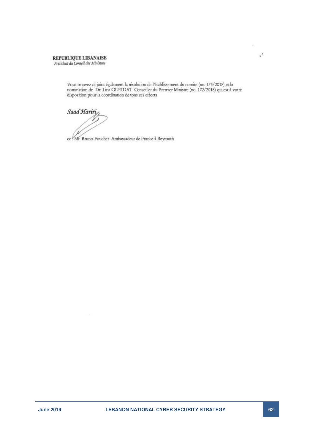#### REPUBLIQUE LIBANAISE Président du Conseil des Ministres

Vous trouvez ci-joint également la résolution de l'établissement du comite (no. 173/2018) et la nomination de Dr. Lina OUEIDAT Conseiller du Premier Ministre (no. 172/2018) qui est à votre disposition pour la coordination de tous ces efforts

Saad Hariri

cc : Mr. Bruno Foucher Ambassadeur de France à Beyrouth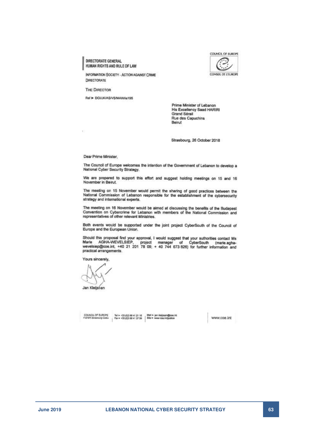DIRECTORATE GENERAL HUMAN RIGHTS AND RULE OF LAW



**INFORMATION SOCIETY - ACTION AGAINST CRIME** DIRECTORATE

**THE DIRECTOR** 

Ref > DGI/JK/AS/VS/MAW/is195

Prime Minister of Lebanon His Excellency Saad HARIRI Grand Sérail Rue des Capuchins Beirut

Strasbourg, 26 October 2018

Dear Prime Minister.

 $\bar{\chi}$ 

The Council of Europe welcomes the intention of the Government of Lebanon to develop a National Cyber Security Strategy.

We are prepared to support this effort and suggest holding meetings on 15 and 16 November in Beirut.

The meeting on 15 November would permit the sharing of good practices between the National Commission of Lebanon responsible for the establishment of the cybersecurity strategy and international experts.

The meeting on 16 November would be aimed at discussing the benefits of the Budapest Convention on Cybercrime for Lebanon with members of the National Commission and representatives of other relevant Ministries.

Both events would be supported under the joint project CyberSouth of the Council of Europe and the European Union.

Should this proposal find your approval, I would suggest that your authorities contact Ms<br>Marie AGHA-WEVELSIEP, project manager of CyberSouth (marie.agha-<br>wevelsiep@coe.int, +40 21 201 78 09; + 40 744 673 826) for further practical arrangements.

Yours sincerely

Jan Kleijssen

 $\left.\begin{array}{l|l} \text{COLNCE\_OF-EUROPE} & \text{Yel} & \text{Yel} & \text{Yel} & \text{Yel} & \text{Yel} & \text{Mell} & \text{P int. K\'eelianud}} \\ \text{F43:87: Sumboury Code = & \text{Fau} & \text{Yelq 19:84:84:85:85:86} & \text{Silts & \text{www code in\'dystico} \\ \end{array}\right.$ 

www.coe.int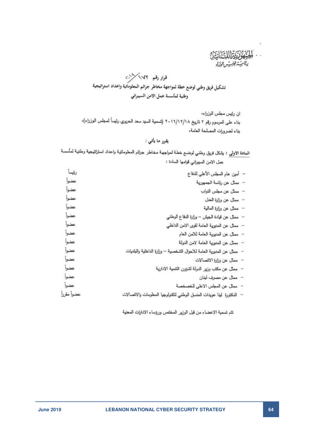١

### قوار رقم ١٧٧ كلات تشكيل فريق وطني لوضع خطة لمواجهة مخاطر جراثم المعلوماتية واعداد استراتيجية وطنية لمأسسة عمل الامن السيبراني

ان رئيس مجلس الوزراء، بناء على العرسوم رقم ٢ تاريخ ٢٠١٦/١٢/١٨ (تسمية السيد سعد الحريري رئيساً لصجلس الوزراء)، بناء لضرورات المصلحة العامة،

#### يقرر ما يأتي :

العادة الاولى : يشكل فريق وطني لوضدع خطة لمواجهة مخاطر جرائم المعلوماتية واعداد استراتيجية وطنية لمأسسة حمل الامن السيبراني قوامها السادة :

| رئيماً     |                                                                      |  |
|------------|----------------------------------------------------------------------|--|
|            | - أمين عام المجلس الأعلى للدفاع                                      |  |
| عضوأ       | - ممثل عن رئاسة الجمهورية                                            |  |
| عضوأ       | - ممثل عن مطس النواب                                                 |  |
| عضوا       | – ممثل عن وزارة العنل                                                |  |
| عضوأ       | – ممثل عن وزارة المالية                                              |  |
| عضوأ       | – ممثل عن قيادة الجيش – وزارة الدفاع الوطني                          |  |
| عضوأ       | – ممثل عن المديرية العامة لقوى الامن الداخلي                         |  |
| عضوا       | - ممثل عن المديرية العامة للامن العام                                |  |
| عضوأ       | – ممثل عن المديرية العامة لامن الدولة                                |  |
| عضوا       | – ممثل عن المديرية العامة للاحوال الشخصية – وزارة الداخلية والبلديات |  |
| عضوا       | – ممثل عن وزارة الاتصالات                                            |  |
| عضوا       | – ممثل عن مكتب وزير الدولة لشؤون التنمية الادارية                    |  |
| عضوأ       | - ممثل عن مصرف لبنان                                                 |  |
| عضوا       | –   ممثِّل عن المجلس الاعلى للخصخصة                                  |  |
| عضوأ مقررأ | الدكتورة لمينا عويدات المنسق الوطني لتكنولوجيا المعلومات والاتصالات  |  |
|            |                                                                      |  |

نتم تسمية الاعضاء من قبل الوزير المختص ورؤساء الادارات المعنية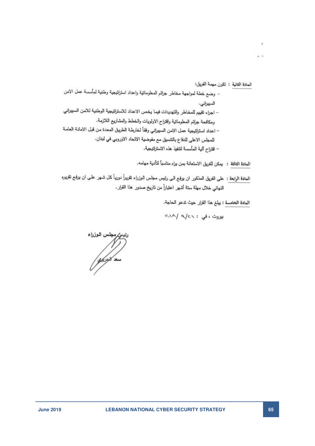المادة الثانية : تكون مهمة الفريق:

 $\overline{a}$ 

- وضبع خطة لعواجهة مخاطر جرائع المعلوماتية واعداد استراتيجية وطنية لمأسسة عمل الامن السيبراني.
- اجراء تقييم للمخاطر والتهديدات فيما يخص الاعداد للاستراتيجية الوطنية للامن السبيراني ومكافحة جرائم المعلوماتية واقتراح الاولويات والخطط والعشاريع اللازمة.
- اعداد استراتيجية عمل الامن السبيراني وفقاً لخارطة الطريق المعدة من قبل الامانة العامة للمجلس الاطي للدفاع بالتنسيق مع مفوضية الاتحاد الاوروبي في لبنان.
	- اقتراح آلية المأسسة لنتفيذ هذه الاستراتيجية.
	- المادة الثالثة : يمكن للفريق الاستعانة بمن يراء مناسباً لتأدية مهامه.
- المعادة الرابعة : على الفريق المذكور ان يوفيع الى رئيس مجلس الوزراء تقريراً دورياً كل شـهر علـى ان يوفيع تقريره النهائي خلال مهلة ستة أشهر اعتباراً من تاريخ صدور هذا القرار .

المادة الخامسة : يبلغ هذا القرار حيث تدعو الحاجة.

بیروت ، فی : ۳٫۷/۹ /۲۰۱۰

س الوزراء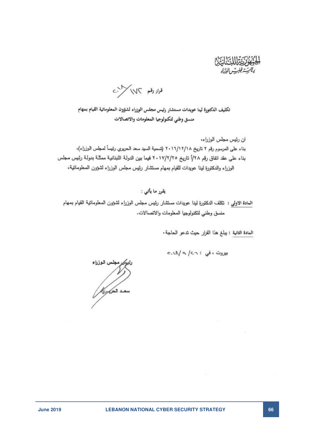فرار رقم كالماكرات

تكليف الدكتورة لينا عويدات مستشار رئيس مجلس الوزراء لشؤون المعلوماتية القيام بمهام منسق وطني لتكنولوجيا المعلومات والاتصالات

ان رئيس مجلس الوزراء، بناء على المرسوم رقم ٢ تاريخ ٢٠١٦/١٢/١٨ (تسمية السيد سعد الحريري رئيساً لمجلس الوزراء)، بناء على عقد اتفاق رقم ٧٨/أ تاريخ ٢٠١٧/٢/٢٥ فيما بين الدولة اللبنانية ممثلة بدولة رئيس مجلس الوزراء والدكتورة لينا عويدات للقيام بمهام مستثمار رئيس مجلس الوزراء لشؤون المعلوماتية،

يقرر ما يأتي :

العادة الاولى : تكلف الدكتورة لينا عويدات مستشار رئيس مجلس الوزراء لشؤون المعلوماتية القيام بسهام منسق وطني لتكنولوجيا المعلومات والاتصالات.

المادة الثانية : يبلغ هذا القرار حيث تدعو الحاجة .

بیروت ، فی : c.v.V a /c.n

<sub>ثغ</sub> مجلس الوزراء **Kybat sau**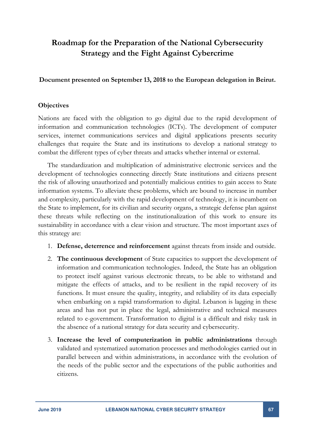## **Roadmap for the Preparation of the National Cybersecurity Strategy and the Fight Against Cybercrime**

**Document presented on September 13, 2018 to the European delegation in Beirut.** 

#### **Objectives**

Nations are faced with the obligation to go digital due to the rapid development of information and communication technologies (ICTs). The development of computer services, internet communications services and digital applications presents security challenges that require the State and its institutions to develop a national strategy to combat the different types of cyber threats and attacks whether internal or external.

The standardization and multiplication of administrative electronic services and the development of technologies connecting directly State institutions and citizens present the risk of allowing unauthorized and potentially malicious entities to gain access to State information systems. To alleviate these problems, which are bound to increase in number and complexity, particularly with the rapid development of technology, it is incumbent on the State to implement, for its civilian and security organs, a strategic defense plan against these threats while reflecting on the institutionalization of this work to ensure its sustainability in accordance with a clear vision and structure. The most important axes of this strategy are:

- 1. **Defense, deterrence and reinforcement** against threats from inside and outside.
- 2. **The continuous development** of State capacities to support the development of information and communication technologies. Indeed, the State has an obligation to protect itself against various electronic threats, to be able to withstand and mitigate the effects of attacks, and to be resilient in the rapid recovery of its functions. It must ensure the quality, integrity, and reliability of its data especially when embarking on a rapid transformation to digital. Lebanon is lagging in these areas and has not put in place the legal, administrative and technical measures related to e-government. Transformation to digital is a difficult and risky task in the absence of a national strategy for data security and cybersecurity.
- 3. **Increase the level of computerization in public administrations** through validated and systematized automation processes and methodologies carried out in parallel between and within administrations, in accordance with the evolution of the needs of the public sector and the expectations of the public authorities and citizens.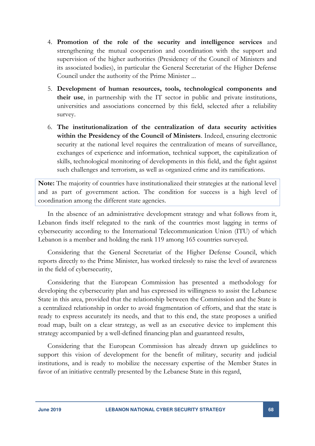- 4. **Promotion of the role of the security and intelligence services** and strengthening the mutual cooperation and coordination with the support and supervision of the higher authorities (Presidency of the Council of Ministers and its associated bodies), in particular the General Secretariat of the Higher Defense Council under the authority of the Prime Minister ...
- 5. **Development of human resources, tools, technological components and their use**, in partnership with the IT sector in public and private institutions, universities and associations concerned by this field, selected after a reliability survey.
- 6. **The institutionalization of the centralization of data security activities within the Presidency of the Council of Ministers**. Indeed, ensuring electronic security at the national level requires the centralization of means of surveillance, exchanges of experience and information, technical support, the capitalization of skills, technological monitoring of developments in this field, and the fight against such challenges and terrorism, as well as organized crime and its ramifications.

**Note:** The majority of countries have institutionalized their strategies at the national level and as part of government action. The condition for success is a high level of coordination among the different state agencies.

In the absence of an administrative development strategy and what follows from it, Lebanon finds itself relegated to the rank of the countries most lagging in terms of cybersecurity according to the International Telecommunication Union (ITU) of which Lebanon is a member and holding the rank 119 among 165 countries surveyed.

Considering that the General Secretariat of the Higher Defense Council, which reports directly to the Prime Minister, has worked tirelessly to raise the level of awareness in the field of cybersecurity,

Considering that the European Commission has presented a methodology for developing the cybersecurity plan and has expressed its willingness to assist the Lebanese State in this area, provided that the relationship between the Commission and the State is a centralized relationship in order to avoid fragmentation of efforts, and that the state is ready to express accurately its needs, and that to this end, the state proposes a unified road map, built on a clear strategy, as well as an executive device to implement this strategy accompanied by a well-defined financing plan and guaranteed results,

Considering that the European Commission has already drawn up guidelines to support this vision of development for the benefit of military, security and judicial institutions, and is ready to mobilize the necessary expertise of the Member States in favor of an initiative centrally presented by the Lebanese State in this regard,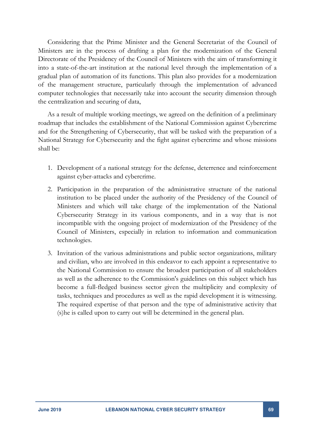Considering that the Prime Minister and the General Secretariat of the Council of Ministers are in the process of drafting a plan for the modernization of the General Directorate of the Presidency of the Council of Ministers with the aim of transforming it into a state-of-the-art institution at the national level through the implementation of a gradual plan of automation of its functions. This plan also provides for a modernization of the management structure, particularly through the implementation of advanced computer technologies that necessarily take into account the security dimension through the centralization and securing of data,

As a result of multiple working meetings, we agreed on the definition of a preliminary roadmap that includes the establishment of the National Commission against Cybercrime and for the Strengthening of Cybersecurity, that will be tasked with the preparation of a National Strategy for Cybersecurity and the fight against cybercrime and whose missions shall be:

- 1. Development of a national strategy for the defense, deterrence and reinforcement against cyber-attacks and cybercrime.
- 2. Participation in the preparation of the administrative structure of the national institution to be placed under the authority of the Presidency of the Council of Ministers and which will take charge of the implementation of the National Cybersecurity Strategy in its various components, and in a way that is not incompatible with the ongoing project of modernization of the Presidency of the Council of Ministers, especially in relation to information and communication technologies.
- 3. Invitation of the various administrations and public sector organizations, military and civilian, who are involved in this endeavor to each appoint a representative to the National Commission to ensure the broadest participation of all stakeholders as well as the adherence to the Commission's guidelines on this subject which has become a full-fledged business sector given the multiplicity and complexity of tasks, techniques and procedures as well as the rapid development it is witnessing. The required expertise of that person and the type of administrative activity that (s)he is called upon to carry out will be determined in the general plan.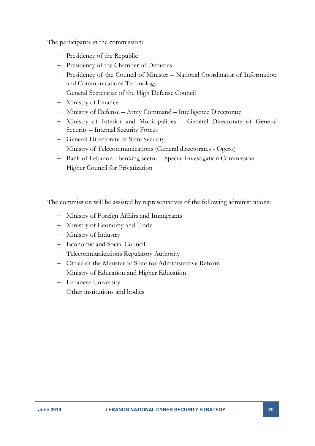The participants in the commission:

- Presidency of the Republic
- Presidency of the Chamber of Deputies
- Presidency of the Council of Minister National Coordinator of Information and Communications Technology
- General Secretariat of the High Defense Council
- Ministry of Finance
- Ministry of Defense Army Command Intelligence Directorate
- Ministry of Interior and Municipalities General Directorate of General Security – Internal Security Forces
- General Directorate of State Security
- Ministry of Telecommunications (General directorates Ogero)
- Bank of Lebanon banking sector Special Investigation Commission
- Higher Council for Privatization

The commission will be assisted by representatives of the following administrations:

- Ministry of Foreign Affairs and Immigrants
- Ministry of Economy and Trade
- Ministry of Industry
- Economic and Social Council
- Telecommunications Regulatory Authority
- Office of the Minister of State for Administrative Reform
- Ministry of Education and Higher Education
- Lebanese University
- Other institutions and bodies